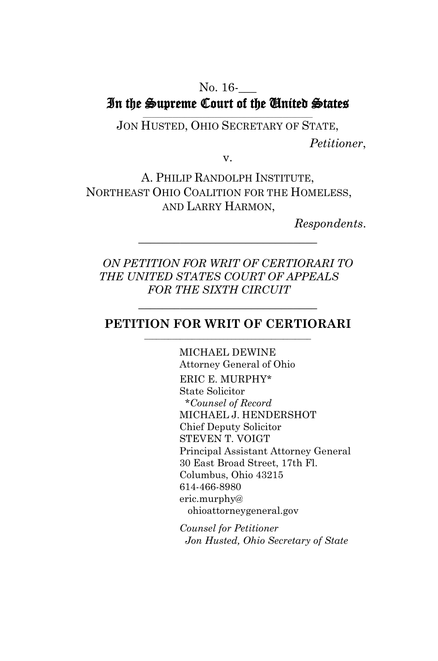#### No. 16-In the Supreme Court of the United States  $\mathcal{L}_\text{max}$  and  $\mathcal{L}_\text{max}$  and  $\mathcal{L}_\text{max}$  and  $\mathcal{L}_\text{max}$  and  $\mathcal{L}_\text{max}$

JON HUSTED, OHIO SECRETARY OF STATE, *Petitioner*,

v.

A. PHILIP RANDOLPH INSTITUTE, NORTHEAST OHIO COALITION FOR THE HOMELESS, AND LARRY HARMON,

*Respondents*.

*ON PETITION FOR WRIT OF CERTIORARI TO THE UNITED STATES COURT OF APPEALS FOR THE SIXTH CIRCUIT*

\_\_\_\_\_\_\_\_\_\_\_\_\_\_\_\_\_\_\_\_\_\_\_\_\_\_\_\_\_\_

#### **PETITION FOR WRIT OF CERTIORARI** \_\_\_\_\_\_\_\_\_\_\_\_\_\_\_\_\_\_\_\_\_\_\_\_\_\_\_\_\_\_\_\_\_\_\_\_\_\_\_\_\_\_

 $\mathcal{L}$  , and the set of the set of the set of the set of the set of the set of the set of the set of the set of the set of the set of the set of the set of the set of the set of the set of the set of the set of the set

MICHAEL DEWINE Attorney General of Ohio ERIC E. MURPHY\* State Solicitor \**Counsel of Record* MICHAEL J. HENDERSHOT Chief Deputy Solicitor STEVEN T. VOIGT Principal Assistant Attorney General 30 East Broad Street, 17th Fl. Columbus, Ohio 43215 614-466-8980 eric.murphy@ ohioattorneygeneral.gov

*Counsel for Petitioner Jon Husted, Ohio Secretary of State*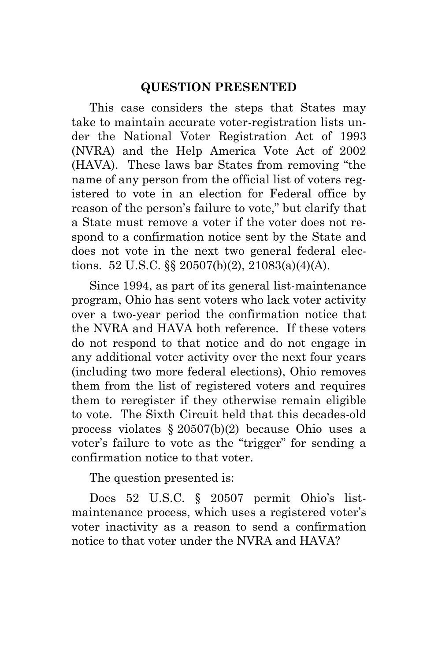#### **QUESTION PRESENTED**

This case considers the steps that States may take to maintain accurate voter-registration lists under the National Voter Registration Act of 1993 (NVRA) and the Help America Vote Act of 2002 (HAVA). These laws bar States from removing "the name of any person from the official list of voters registered to vote in an election for Federal office by reason of the person's failure to vote," but clarify that a State must remove a voter if the voter does not respond to a confirmation notice sent by the State and does not vote in the next two general federal elections. 52 U.S.C. §§ 20507(b)(2), 21083(a)(4)(A).

Since 1994, as part of its general list-maintenance program, Ohio has sent voters who lack voter activity over a two-year period the confirmation notice that the NVRA and HAVA both reference. If these voters do not respond to that notice and do not engage in any additional voter activity over the next four years (including two more federal elections), Ohio removes them from the list of registered voters and requires them to reregister if they otherwise remain eligible to vote. The Sixth Circuit held that this decades-old process violates § 20507(b)(2) because Ohio uses a voter's failure to vote as the "trigger" for sending a confirmation notice to that voter.

The question presented is:

Does 52 U.S.C. § 20507 permit Ohio's listmaintenance process, which uses a registered voter's voter inactivity as a reason to send a confirmation notice to that voter under the NVRA and HAVA?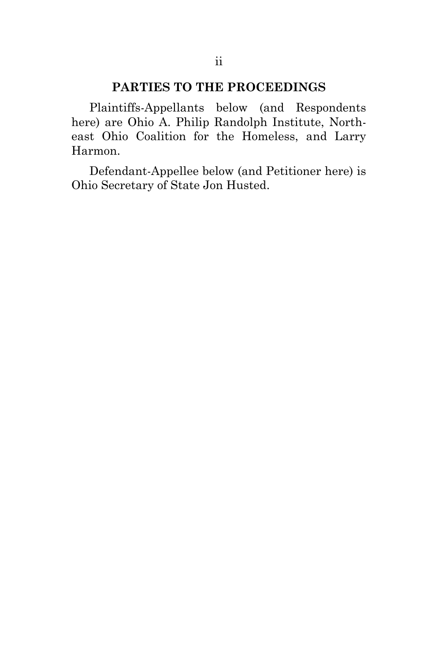### **PARTIES TO THE PROCEEDINGS**

Plaintiffs-Appellants below (and Respondents here) are Ohio A. Philip Randolph Institute, Northeast Ohio Coalition for the Homeless, and Larry Harmon.

Defendant-Appellee below (and Petitioner here) is Ohio Secretary of State Jon Husted.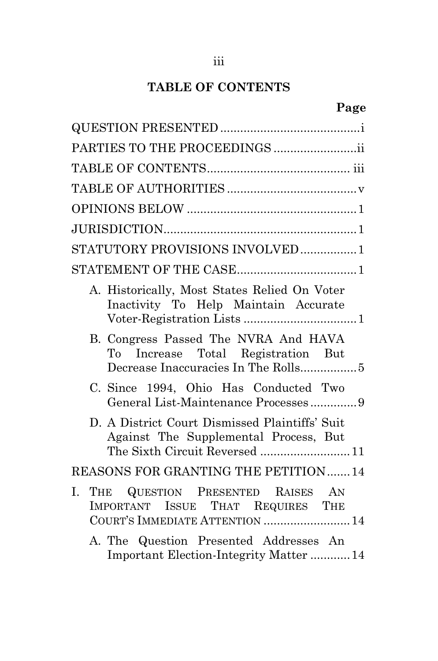# **TABLE OF CONTENTS**

| PARTIES TO THE PROCEEDINGS ii                                                                                            |
|--------------------------------------------------------------------------------------------------------------------------|
|                                                                                                                          |
|                                                                                                                          |
|                                                                                                                          |
|                                                                                                                          |
| STATUTORY PROVISIONS INVOLVED1                                                                                           |
|                                                                                                                          |
| A. Historically, Most States Relied On Voter<br>Inactivity To Help Maintain Accurate                                     |
| B. Congress Passed The NVRA And HAVA<br>To Increase Total Registration But<br>Decrease Inaccuracies In The Rolls5        |
| C. Since 1994, Ohio Has Conducted Two<br>General List-Maintenance Processes9                                             |
| D. A District Court Dismissed Plaintiffs' Suit<br>Against The Supplemental Process, But<br>The Sixth Circuit Reversed 11 |
| REASONS FOR GRANTING THE PETITION  14                                                                                    |
| THE QUESTION PRESENTED RAISES AN<br>I.<br>IMPORTANT ISSUE THAT REQUIRES THE<br>COURT'S IMMEDIATE ATTENTION  14           |
| A. The Question Presented Addresses An<br><b>Important Election-Integrity Matter 14</b>                                  |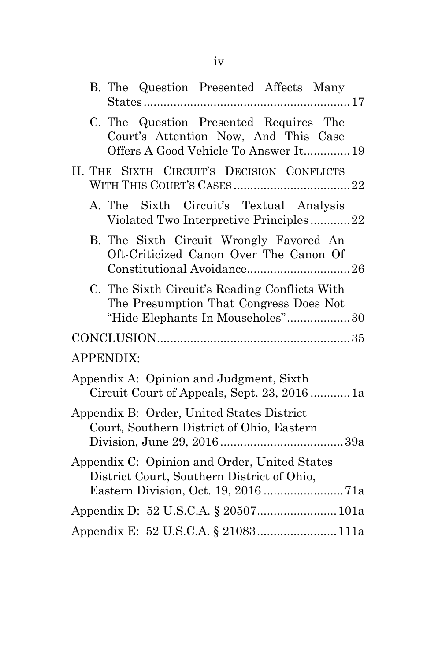| B. The Question Presented Affects Many                                                                                      |
|-----------------------------------------------------------------------------------------------------------------------------|
| C. The Question Presented Requires The<br>Court's Attention Now, And This Case<br>Offers A Good Vehicle To Answer It 19     |
| II. THE SIXTH CIRCUIT'S DECISION CONFLICTS                                                                                  |
| A. The Sixth Circuit's Textual Analysis<br>Violated Two Interpretive Principles22                                           |
| B. The Sixth Circuit Wrongly Favored An<br>Oft-Criticized Canon Over The Canon Of                                           |
| C. The Sixth Circuit's Reading Conflicts With<br>The Presumption That Congress Does Not<br>"Hide Elephants In Mouseholes"30 |
|                                                                                                                             |
| <b>APPENDIX:</b>                                                                                                            |
| Appendix A: Opinion and Judgment, Sixth<br>Circuit Court of Appeals, Sept. 23, 20161a                                       |
| Appendix B: Order, United States District<br>Court, Southern District of Ohio, Eastern                                      |
| Appendix C: Opinion and Order, United States<br>District Court, Southern District of Ohio,                                  |
|                                                                                                                             |
|                                                                                                                             |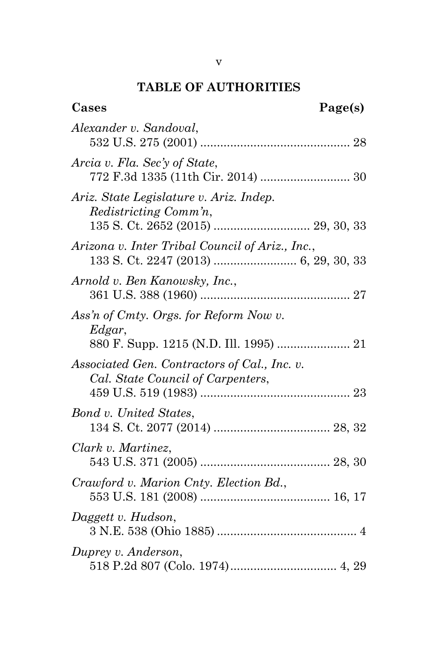## **TABLE OF AUTHORITIES**

| Cases                                                                             | Page(s) |  |
|-----------------------------------------------------------------------------------|---------|--|
| Alexander v. Sandoval,                                                            |         |  |
| Arcia v. Fla. Sec'y of State,                                                     |         |  |
| Ariz. State Legislature v. Ariz. Indep.<br>Redistricting Comm'n,                  |         |  |
| Arizona v. Inter Tribal Council of Ariz., Inc.,                                   |         |  |
| Arnold v. Ben Kanowsky, Inc.,                                                     |         |  |
| Ass'n of Cmty. Orgs. for Reform Now v.<br>Edgar,                                  |         |  |
| Associated Gen. Contractors of Cal., Inc. v.<br>Cal. State Council of Carpenters, |         |  |
| Bond v. United States,                                                            |         |  |
| Clark v. Martinez,                                                                |         |  |
| Crawford v. Marion Cnty. Election Bd.,                                            |         |  |
| Daggett v. Hudson,                                                                |         |  |
| Duprey v. Anderson,                                                               |         |  |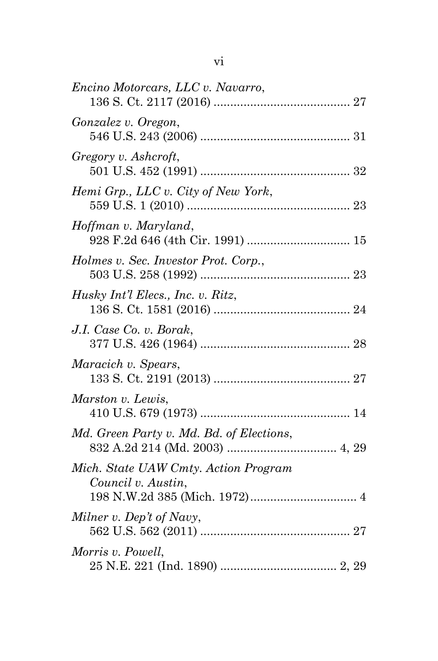| Encino Motorcars, LLC v. Navarro,                          |  |
|------------------------------------------------------------|--|
| Gonzalez v. Oregon,                                        |  |
| Gregory v. Ashcroft,                                       |  |
| Hemi Grp., LLC v. City of New York,                        |  |
| Hoffman v. Maryland,                                       |  |
| Holmes v. Sec. Investor Prot. Corp.,                       |  |
| Husky Int'l Elecs., Inc. v. Ritz,                          |  |
| J.I. Case Co. v. Borak,                                    |  |
| Maracich v. Spears,                                        |  |
| Marston v. Lewis,                                          |  |
| Md. Green Party v. Md. Bd. of Elections,                   |  |
| Mich. State UAW Cmty. Action Program<br>Council v. Austin, |  |
| Milner v. Dep't of Navy,                                   |  |
| Morris v. Powell,                                          |  |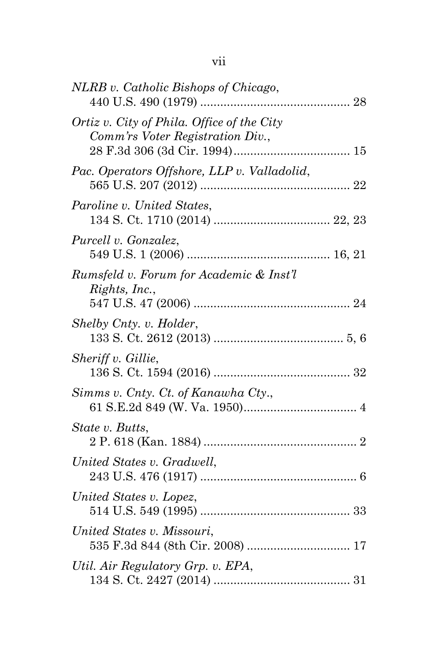| NLRB v. Catholic Bishops of Chicago,                                           |  |
|--------------------------------------------------------------------------------|--|
| Ortiz v. City of Phila. Office of the City<br>Comm'rs Voter Registration Div., |  |
| Pac. Operators Offshore, LLP v. Valladolid,                                    |  |
| Paroline v. United States,                                                     |  |
| Purcell v. Gonzalez,                                                           |  |
| Rumsfeld v. Forum for Academic & Inst'l<br>Rights, Inc.,                       |  |
| Shelby Cnty. v. Holder,                                                        |  |
| Sheriff v. Gillie,                                                             |  |
| Simms v. Cnty. Ct. of Kanawha Cty.,                                            |  |
| State v. Butts,                                                                |  |
| United States v. Gradwell,                                                     |  |
| United States v. Lopez,                                                        |  |
| United States v. Missouri,<br>535 F.3d 844 (8th Cir. 2008)  17                 |  |
| Util. Air Regulatory Grp. v. EPA,                                              |  |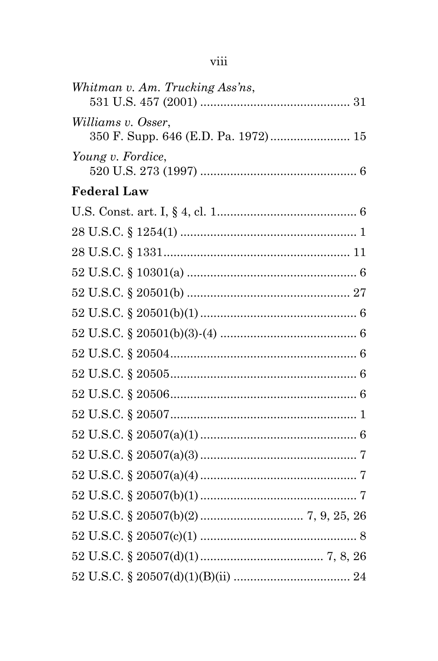| Whitman v. Am. Trucking Ass'ns, |  |
|---------------------------------|--|
| Williams v. Osser,              |  |
| Young v. Fordice,               |  |
| <b>Federal Law</b>              |  |
|                                 |  |
|                                 |  |
|                                 |  |
|                                 |  |
|                                 |  |
|                                 |  |
|                                 |  |
|                                 |  |
|                                 |  |
|                                 |  |
|                                 |  |
|                                 |  |
|                                 |  |
|                                 |  |
|                                 |  |
|                                 |  |
|                                 |  |
|                                 |  |
|                                 |  |

# viii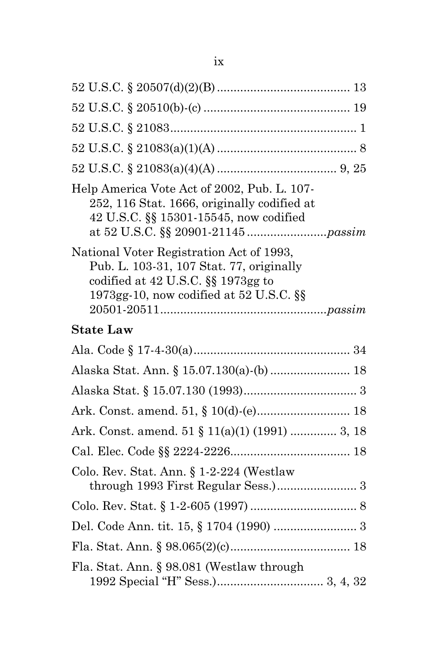| Help America Vote Act of 2002, Pub. L. 107-<br>252, 116 Stat. 1666, originally codified at<br>42 U.S.C. §§ 15301-15545, now codified                                      |  |
|---------------------------------------------------------------------------------------------------------------------------------------------------------------------------|--|
| National Voter Registration Act of 1993,<br>Pub. L. 103-31, 107 Stat. 77, originally<br>codified at $42$ U.S.C. $\S$ 1973gg to<br>1973gg-10, now codified at 52 U.S.C. §§ |  |
| <b>State Law</b>                                                                                                                                                          |  |
|                                                                                                                                                                           |  |
| Alaska Stat. Ann. § 15.07.130(a)-(b) 18                                                                                                                                   |  |
|                                                                                                                                                                           |  |
|                                                                                                                                                                           |  |
| Ark. Const. amend. 51 § 11(a)(1) (1991)  3, 18                                                                                                                            |  |
|                                                                                                                                                                           |  |
| Colo. Rev. Stat. Ann. § 1-2-224 (Westlaw<br>through 1993 First Regular Sess.) 3                                                                                           |  |
|                                                                                                                                                                           |  |
|                                                                                                                                                                           |  |
|                                                                                                                                                                           |  |
| Fla. Stat. Ann. § 98.081 (Westlaw through                                                                                                                                 |  |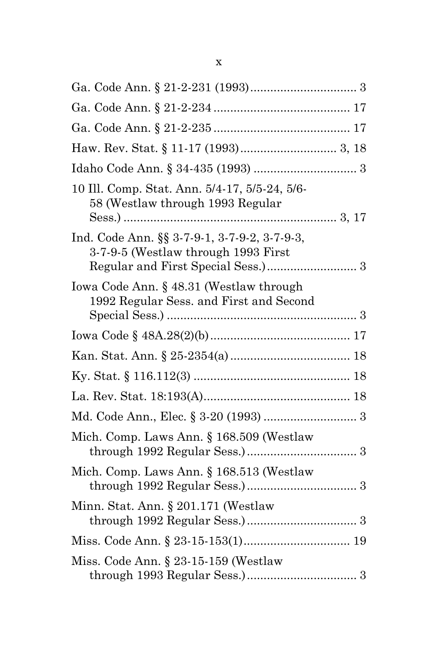| 10 Ill. Comp. Stat. Ann. 5/4-17, 5/5-24, 5/6-<br>58 (Westlaw through 1993 Regular   |  |
|-------------------------------------------------------------------------------------|--|
| Ind. Code Ann. §§ 3-7-9-1, 3-7-9-2, 3-7-9-3,<br>3-7-9-5 (Westlaw through 1993 First |  |
| Iowa Code Ann. § 48.31 (Westlaw through<br>1992 Regular Sess. and First and Second  |  |
|                                                                                     |  |
|                                                                                     |  |
|                                                                                     |  |
|                                                                                     |  |
|                                                                                     |  |
| Mich. Comp. Laws Ann. § 168.509 (Westlaw                                            |  |
| Mich. Comp. Laws Ann. § 168.513 (Westlaw                                            |  |
| Minn. Stat. Ann. § 201.171 (Westlaw                                                 |  |
|                                                                                     |  |
| Miss. Code Ann. $\S 23-15-159$ (Westlaw                                             |  |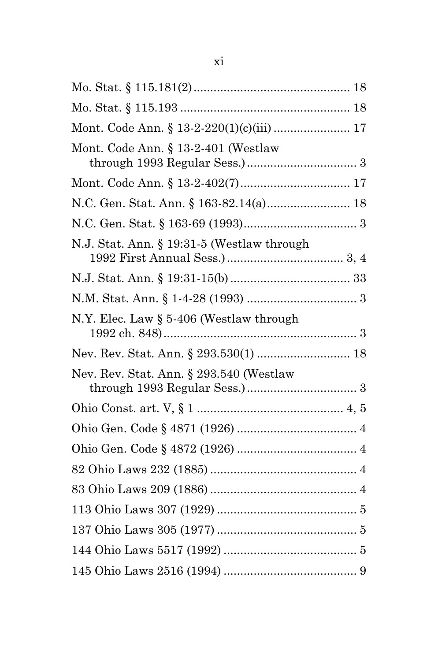| Mont. Code Ann. § 13-2-220(1)(c)(iii)  17  |  |
|--------------------------------------------|--|
| Mont. Code Ann. § 13-2-401 (Westlaw        |  |
|                                            |  |
| N.C. Gen. Stat. Ann. § 163-82.14(a) 18     |  |
|                                            |  |
| N.J. Stat. Ann. § 19:31-5 (Westlaw through |  |
|                                            |  |
|                                            |  |
| N.Y. Elec. Law $\S$ 5-406 (Westlaw through |  |
|                                            |  |
| Nev. Rev. Stat. Ann. § 293.540 (Westlaw    |  |
|                                            |  |
|                                            |  |
|                                            |  |
|                                            |  |
|                                            |  |
|                                            |  |
|                                            |  |
|                                            |  |
|                                            |  |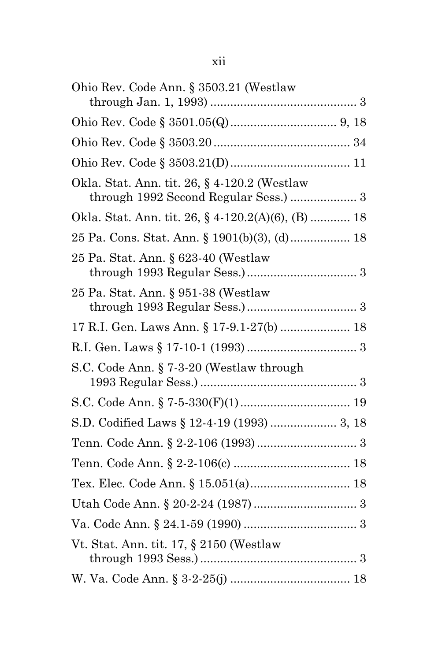| Ohio Rev. Code Ann. § 3503.21 (Westlaw                                                |  |
|---------------------------------------------------------------------------------------|--|
|                                                                                       |  |
|                                                                                       |  |
|                                                                                       |  |
| Okla. Stat. Ann. tit. 26, § 4-120.2 (Westlaw<br>through 1992 Second Regular Sess.)  3 |  |
| Okla. Stat. Ann. tit. 26, § 4-120.2(A)(6), (B)  18                                    |  |
| 25 Pa. Cons. Stat. Ann. § 1901(b)(3), (d) 18                                          |  |
| 25 Pa. Stat. Ann. § 623-40 (Westlaw                                                   |  |
| 25 Pa. Stat. Ann. § 951-38 (Westlaw                                                   |  |
| 17 R.I. Gen. Laws Ann. § 17-9.1-27(b)  18                                             |  |
|                                                                                       |  |
| S.C. Code Ann. § 7-3-20 (Westlaw through                                              |  |
|                                                                                       |  |
| S.D. Codified Laws § 12-4-19 (1993)  3, 18                                            |  |
|                                                                                       |  |
|                                                                                       |  |
|                                                                                       |  |
|                                                                                       |  |
|                                                                                       |  |
| Vt. Stat. Ann. tit. 17, § 2150 (Westlaw)                                              |  |
|                                                                                       |  |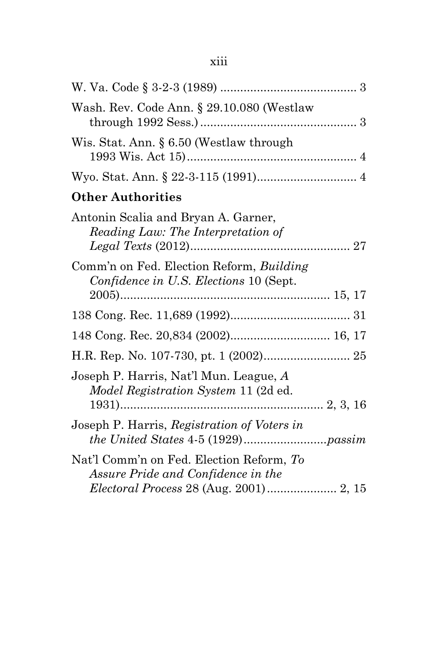| Wash. Rev. Code Ann. § 29.10.080 (Westlaw                                             |  |
|---------------------------------------------------------------------------------------|--|
| Wis. Stat. Ann. § 6.50 (Westlaw through                                               |  |
|                                                                                       |  |
| <b>Other Authorities</b>                                                              |  |
| Antonin Scalia and Bryan A. Garner,<br>Reading Law: The Interpretation of             |  |
| Comm'n on Fed. Election Reform, Building<br>Confidence in U.S. Elections 10 (Sept.    |  |
|                                                                                       |  |
|                                                                                       |  |
|                                                                                       |  |
| Joseph P. Harris, Nat'l Mun. League, A<br><i>Model Registration System 11 (2d ed.</i> |  |
| Joseph P. Harris, Registration of Voters in                                           |  |
| Nat'l Comm'n on Fed. Election Reform, To<br>Assure Pride and Confidence in the        |  |
| Electoral Process 28 (Aug. 2001) 2, 15                                                |  |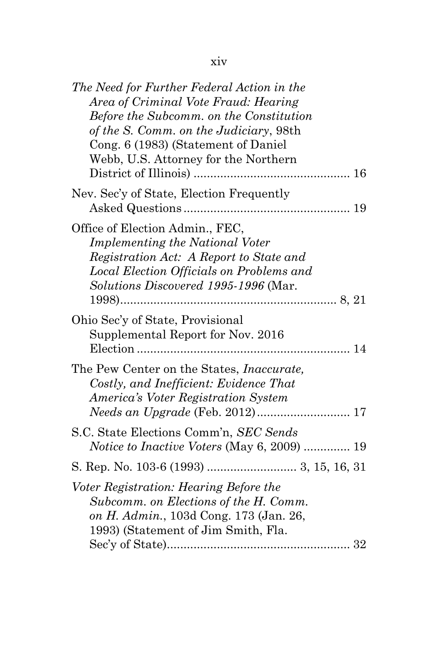| The Need for Further Federal Action in the<br>Area of Criminal Vote Fraud: Hearing<br>Before the Subcomm. on the Constitution<br>of the S. Comm. on the Judiciary, 98th<br>Cong. 6 (1983) (Statement of Daniel<br>Webb, U.S. Attorney for the Northern |
|--------------------------------------------------------------------------------------------------------------------------------------------------------------------------------------------------------------------------------------------------------|
| Nev. Sec'y of State, Election Frequently                                                                                                                                                                                                               |
| Office of Election Admin., FEC,<br><b>Implementing the National Voter</b><br>Registration Act: A Report to State and<br>Local Election Officials on Problems and<br>Solutions Discovered 1995-1996 (Mar.                                               |
| Ohio Sec'y of State, Provisional<br>Supplemental Report for Nov. 2016                                                                                                                                                                                  |
| The Pew Center on the States, <i>Inaccurate</i> ,<br>Costly, and Inefficient: Evidence That<br>America's Voter Registration System<br>Needs an Upgrade (Feb. 2012) 17                                                                                  |
| S.C. State Elections Comm'n, SEC Sends<br><i>Notice to Inactive Voters</i> (May 6, 2009)  19                                                                                                                                                           |
| Voter Registration: Hearing Before the<br>Subcomm. on Elections of the H. Comm.<br>on H. Admin., 103d Cong. 173 (Jan. 26,<br>1993) (Statement of Jim Smith, Fla.                                                                                       |
|                                                                                                                                                                                                                                                        |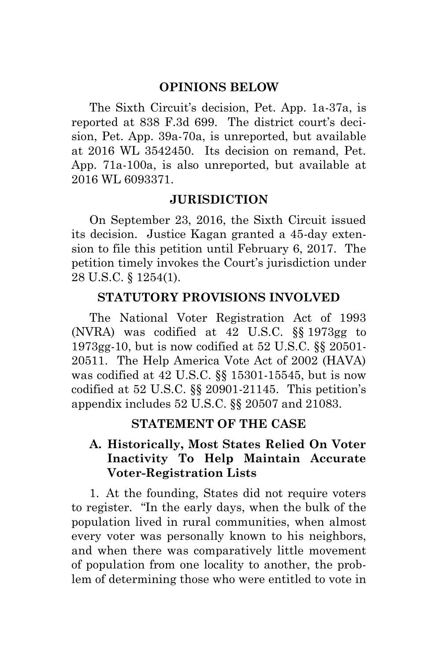### **OPINIONS BELOW**

The Sixth Circuit's decision, Pet. App. 1a-37a, is reported at 838 F.3d 699. The district court's decision, Pet. App. 39a-70a, is unreported, but available at 2016 WL 3542450. Its decision on remand, Pet. App. 71a-100a, is also unreported, but available at 2016 WL 6093371.

### **JURISDICTION**

On September 23, 2016, the Sixth Circuit issued its decision. Justice Kagan granted a 45-day extension to file this petition until February 6, 2017. The petition timely invokes the Court's jurisdiction under 28 U.S.C. § 1254(1).

### <span id="page-16-3"></span><span id="page-16-0"></span>**STATUTORY PROVISIONS INVOLVED**

The National Voter Registration Act of 1993 (NVRA) was codified at 42 U.S.C. §§ 1973gg to 1973gg-10, but is now codified at 52 U.S.C. §§ 20501- 20511. The Help America Vote Act of 2002 (HAVA) was codified at 42 U.S.C. §§ 15301-15545, but is now codified at 52 U.S.C. §§ 20901-21145. This petition's appendix includes 52 U.S.C. §§ 20507 and 21083.

### <span id="page-16-2"></span><span id="page-16-1"></span>**STATEMENT OF THE CASE**

### **A. Historically, Most States Relied On Voter Inactivity To Help Maintain Accurate Voter-Registration Lists**

1. At the founding, States did not require voters to register. "In the early days, when the bulk of the population lived in rural communities, when almost every voter was personally known to his neighbors, and when there was comparatively little movement of population from one locality to another, the problem of determining those who were entitled to vote in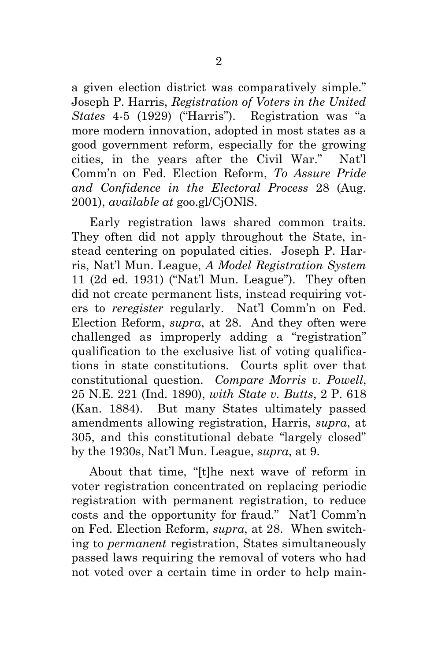<span id="page-17-3"></span>a given election district was comparatively simple." Joseph P. Harris, *Registration of Voters in the United States* 4-5 (1929) ("Harris"). Registration was "a more modern innovation, adopted in most states as a good government reform, especially for the growing cities, in the years after the Civil War." Nat'l Comm'n on Fed. Election Reform, *To Assure Pride and Confidence in the Electoral Process* 28 (Aug. 2001), *available at* goo.gl/CjONlS.

<span id="page-17-4"></span><span id="page-17-2"></span>Early registration laws shared common traits. They often did not apply throughout the State, instead centering on populated cities. Joseph P. Harris, Nat'l Mun. League, *A Model Registration System* 11 (2d ed. 1931) ("Nat'l Mun. League"). They often did not create permanent lists, instead requiring voters to *reregister* regularly. Nat'l Comm'n on Fed. Election Reform, *supra*, at 28. And they often were challenged as improperly adding a "registration" qualification to the exclusive list of voting qualifications in state constitutions. Courts split over that constitutional question. *Compare Morris v. Powell*, 25 N.E. 221 (Ind. 1890), *with State v. Butts*, 2 P. 618 (Kan. 1884). But many States ultimately passed amendments allowing registration, Harris, *supra*, at 305, and this constitutional debate "largely closed" by the 1930s, Nat'l Mun. League, *supra*, at 9.

<span id="page-17-1"></span><span id="page-17-0"></span>About that time, "[t]he next wave of reform in voter registration concentrated on replacing periodic registration with permanent registration, to reduce costs and the opportunity for fraud." Nat'l Comm'n on Fed. Election Reform, *supra*, at 28. When switching to *permanent* registration, States simultaneously passed laws requiring the removal of voters who had not voted over a certain time in order to help main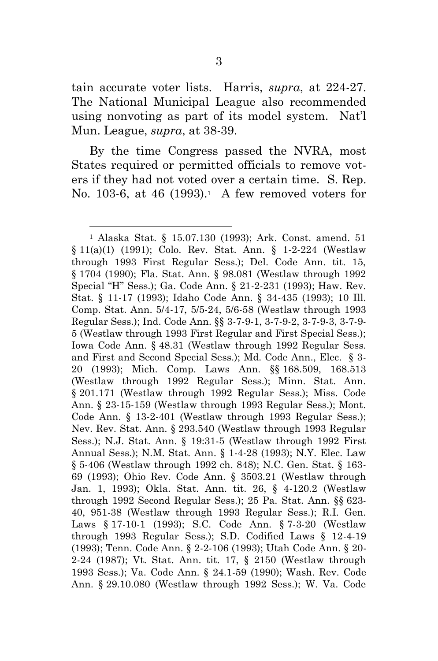<span id="page-18-33"></span>tain accurate voter lists. Harris, *supra*, at 224-27. The National Municipal League also recommended using nonvoting as part of its model system. Nat'l Mun. League, *supra*, at 38-39.

By the time Congress passed the NVRA, most States required or permitted officials to remove voters if they had not voted over a certain time. S. Rep. No. 103-6, at 46 (1993).<sup>1</sup> A few removed voters for

<span id="page-18-34"></span><span id="page-18-24"></span><span id="page-18-19"></span><span id="page-18-16"></span><span id="page-18-15"></span><span id="page-18-14"></span><span id="page-18-13"></span><span id="page-18-11"></span><span id="page-18-8"></span><span id="page-18-7"></span><span id="page-18-6"></span><span id="page-18-5"></span><span id="page-18-4"></span><span id="page-18-3"></span><span id="page-18-2"></span><span id="page-18-1"></span><span id="page-18-0"></span>l

<span id="page-18-32"></span><span id="page-18-31"></span><span id="page-18-30"></span><span id="page-18-29"></span><span id="page-18-28"></span><span id="page-18-27"></span><span id="page-18-26"></span><span id="page-18-25"></span><span id="page-18-23"></span><span id="page-18-22"></span><span id="page-18-21"></span><span id="page-18-20"></span><span id="page-18-18"></span><span id="page-18-17"></span><span id="page-18-12"></span><span id="page-18-10"></span><span id="page-18-9"></span><sup>1</sup> Alaska Stat. § 15.07.130 (1993); Ark. Const. amend. 51 § 11(a)(1) (1991); Colo. Rev. Stat. Ann. § 1-2-224 (Westlaw through 1993 First Regular Sess.); Del. Code Ann. tit. 15, § 1704 (1990); Fla. Stat. Ann. § 98.081 (Westlaw through 1992 Special "H" Sess.); Ga. Code Ann. § 21-2-231 (1993); Haw. Rev. Stat. § 11-17 (1993); Idaho Code Ann. § 34-435 (1993); 10 Ill. Comp. Stat. Ann. 5/4-17, 5/5-24, 5/6-58 (Westlaw through 1993 Regular Sess.); Ind. Code Ann. §§ 3-7-9-1, 3-7-9-2, 3-7-9-3, 3-7-9- 5 (Westlaw through 1993 First Regular and First Special Sess.); Iowa Code Ann. § 48.31 (Westlaw through 1992 Regular Sess. and First and Second Special Sess.); Md. Code Ann., Elec. § 3- 20 (1993); Mich. Comp. Laws Ann. §§ 168.509, 168.513 (Westlaw through 1992 Regular Sess.); Minn. Stat. Ann. § 201.171 (Westlaw through 1992 Regular Sess.); Miss. Code Ann. § 23-15-159 (Westlaw through 1993 Regular Sess.); Mont. Code Ann. § 13-2-401 (Westlaw through 1993 Regular Sess.); Nev. Rev. Stat. Ann. § 293.540 (Westlaw through 1993 Regular Sess.); N.J. Stat. Ann. § 19:31-5 (Westlaw through 1992 First Annual Sess.); N.M. Stat. Ann. § 1-4-28 (1993); N.Y. Elec. Law § 5-406 (Westlaw through 1992 ch. 848); N.C. Gen. Stat. § 163- 69 (1993); Ohio Rev. Code Ann. § 3503.21 (Westlaw through Jan. 1, 1993); Okla. Stat. Ann. tit. 26, § 4-120.2 (Westlaw through 1992 Second Regular Sess.); 25 Pa. Stat. Ann. §§ 623- 40, 951-38 (Westlaw through 1993 Regular Sess.); R.I. Gen. Laws § 17-10-1 (1993); S.C. Code Ann. § 7-3-20 (Westlaw through 1993 Regular Sess.); S.D. Codified Laws § 12-4-19 (1993); Tenn. Code Ann. § 2-2-106 (1993); Utah Code Ann. § 20- 2-24 (1987); Vt. Stat. Ann. tit. 17, § 2150 (Westlaw through 1993 Sess.); Va. Code Ann. § 24.1-59 (1990); Wash. Rev. Code Ann. § 29.10.080 (Westlaw through 1992 Sess.); W. Va. Code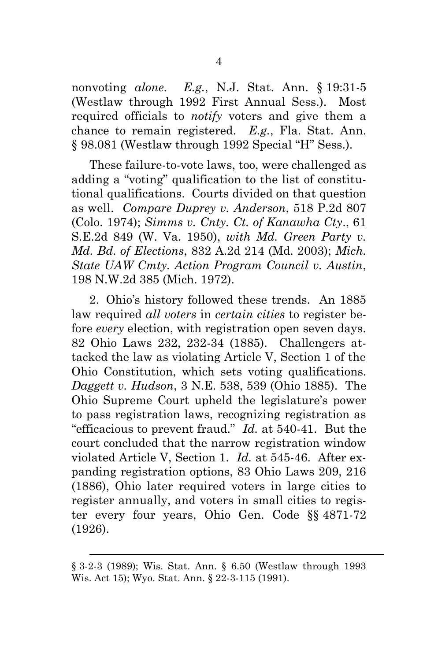<span id="page-19-6"></span>nonvoting *alone*. *E.g.*, N.J. Stat. Ann. § 19:31-5 (Westlaw through 1992 First Annual Sess.). Most required officials to *notify* voters and give them a chance to remain registered. *E.g.*, Fla. Stat. Ann. § 98.081 (Westlaw through 1992 Special "H" Sess.).

<span id="page-19-5"></span><span id="page-19-4"></span><span id="page-19-1"></span>These failure-to-vote laws, too, were challenged as adding a "voting" qualification to the list of constitutional qualifications. Courts divided on that question as well. *Compare Duprey v. Anderson*, 518 P.2d 807 (Colo. 1974); *Simms v. Cnty. Ct. of Kanawha Cty*., 61 S.E.2d 849 (W. Va. 1950), *with Md. Green Party v. Md. Bd. of Elections*, 832 A.2d 214 (Md. 2003); *Mich. State UAW Cmty. Action Program Council v. Austin*, 198 N.W.2d 385 (Mich. 1972).

<span id="page-19-9"></span><span id="page-19-7"></span><span id="page-19-3"></span><span id="page-19-2"></span><span id="page-19-0"></span>2. Ohio's history followed these trends. An 1885 law required *all voters* in *certain cities* to register before *every* election, with registration open seven days. 82 Ohio Laws 232, 232-34 (1885). Challengers attacked the law as violating Article V, Section 1 of the Ohio Constitution, which sets voting qualifications. *Daggett v. Hudson*, 3 N.E. 538, 539 (Ohio 1885). The Ohio Supreme Court upheld the legislature's power to pass registration laws, recognizing registration as "efficacious to prevent fraud." *Id.* at 540-41. But the court concluded that the narrow registration window violated Article V, Section 1. *Id.* at 545-46. After expanding registration options, 83 Ohio Laws 209, 216 (1886), Ohio later required voters in large cities to register annually, and voters in small cities to register every four years, Ohio Gen. Code §§ 4871-72 (1926).

<span id="page-19-12"></span><span id="page-19-11"></span><span id="page-19-10"></span><span id="page-19-8"></span> $\overline{a}$ 

<sup>§</sup> 3-2-3 (1989); Wis. Stat. Ann. § 6.50 (Westlaw through 1993 Wis. Act 15); Wyo. Stat. Ann. § 22-3-115 (1991).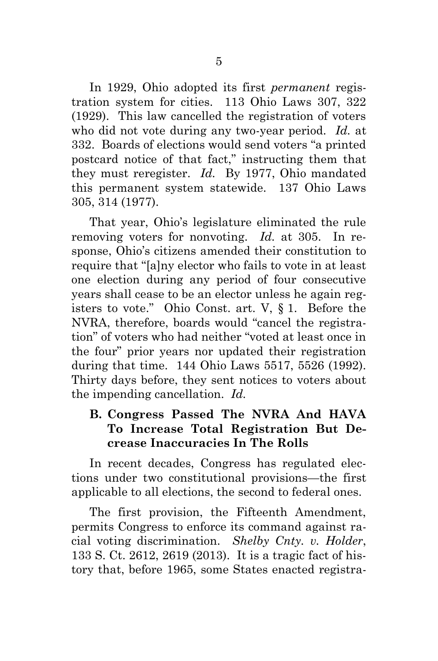<span id="page-20-2"></span>In 1929, Ohio adopted its first *permanent* registration system for cities. 113 Ohio Laws 307, 322 (1929). This law cancelled the registration of voters who did not vote during any two-year period. *Id.* at 332. Boards of elections would send voters "a printed postcard notice of that fact," instructing them that they must reregister. *Id.* By 1977, Ohio mandated this permanent system statewide. 137 Ohio Laws 305, 314 (1977).

<span id="page-20-3"></span><span id="page-20-1"></span>That year, Ohio's legislature eliminated the rule removing voters for nonvoting. *Id.* at 305. In response, Ohio's citizens amended their constitution to require that "[a]ny elector who fails to vote in at least one election during any period of four consecutive years shall cease to be an elector unless he again registers to vote." Ohio Const. art. V, § 1. Before the NVRA, therefore, boards would "cancel the registration" of voters who had neither "voted at least once in the four" prior years nor updated their registration during that time. 144 Ohio Laws 5517, 5526 (1992). Thirty days before, they sent notices to voters about the impending cancellation. *Id.*

### <span id="page-20-4"></span>**B. Congress Passed The NVRA And HAVA To Increase Total Registration But Decrease Inaccuracies In The Rolls**

In recent decades, Congress has regulated elections under two constitutional provisions—the first applicable to all elections, the second to federal ones.

<span id="page-20-0"></span>The first provision, the Fifteenth Amendment, permits Congress to enforce its command against racial voting discrimination. *Shelby Cnty. v. Holder*, 133 S. Ct. 2612, 2619 (2013). It is a tragic fact of history that, before 1965, some States enacted registra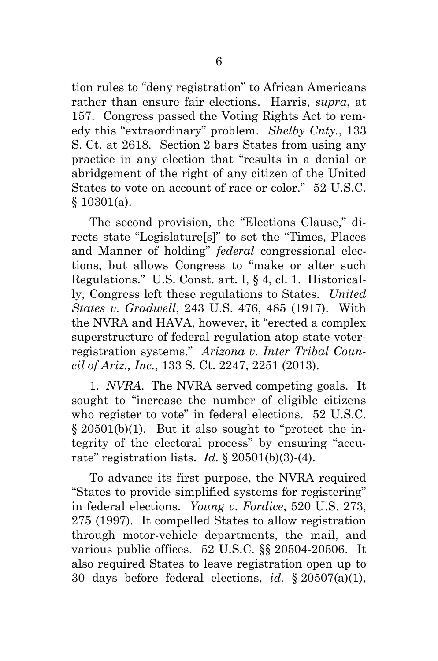<span id="page-21-1"></span>tion rules to "deny registration" to African Americans rather than ensure fair elections. Harris, *supra*, at 157. Congress passed the Voting Rights Act to remedy this "extraordinary" problem. *Shelby Cnty.*, 133 S. Ct. at 2618. Section 2 bars States from using any practice in any election that "results in a denial or abridgement of the right of any citizen of the United States to vote on account of race or color." 52 U.S.C. § 10301(a).

<span id="page-21-5"></span><span id="page-21-4"></span><span id="page-21-2"></span>The second provision, the "Elections Clause," directs state "Legislature[s]" to set the "Times, Places and Manner of holding" *federal* congressional elections, but allows Congress to "make or alter such Regulations." U.S. Const. art. I, § 4, cl. 1. Historically, Congress left these regulations to States. *United States v. Gradwell*, 243 U.S. 476, 485 (1917). With the NVRA and HAVA, however, it "erected a complex superstructure of federal regulation atop state voterregistration systems." *Arizona v. Inter Tribal Council of Ariz., Inc.*, 133 S. Ct. 2247, 2251 (2013).

<span id="page-21-6"></span><span id="page-21-0"></span>1. *NVRA*. The NVRA served competing goals. It sought to "increase the number of eligible citizens who register to vote" in federal elections. 52 U.S.C. § 20501(b)(1). But it also sought to "protect the integrity of the electoral process" by ensuring "accurate" registration lists. *Id.* § 20501(b)(3)-(4).

<span id="page-21-9"></span><span id="page-21-8"></span><span id="page-21-7"></span><span id="page-21-3"></span>To advance its first purpose, the NVRA required "States to provide simplified systems for registering" in federal elections. *Young v. Fordice*, 520 U.S. 273, 275 (1997). It compelled States to allow registration through motor-vehicle departments, the mail, and various public offices. 52 U.S.C. §§ 20504-20506. It also required States to leave registration open up to 30 days before federal elections, *id.* § 20507(a)(1),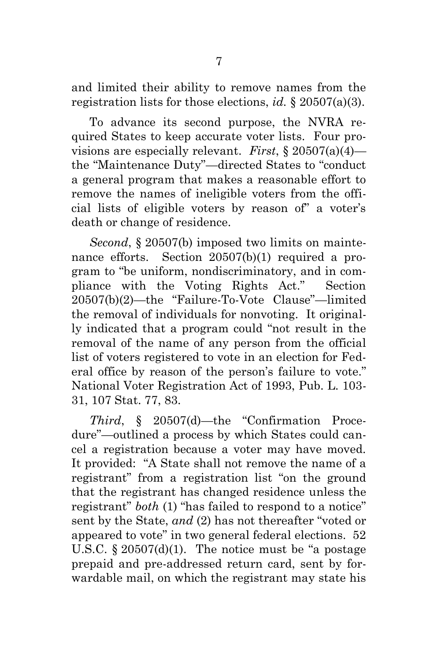<span id="page-22-0"></span>and limited their ability to remove names from the registration lists for those elections, *id.* § 20507(a)(3).

<span id="page-22-1"></span>To advance its second purpose, the NVRA required States to keep accurate voter lists. Four provisions are especially relevant. *First*, § 20507(a)(4) the "Maintenance Duty"—directed States to "conduct a general program that makes a reasonable effort to remove the names of ineligible voters from the official lists of eligible voters by reason of" a voter's death or change of residence.

<span id="page-22-3"></span><span id="page-22-2"></span>*Second*, § 20507(b) imposed two limits on maintenance efforts. Section 20507(b)(1) required a program to "be uniform, nondiscriminatory, and in compliance with the Voting Rights Act." Section 20507(b)(2)—the "Failure-To-Vote Clause"—limited the removal of individuals for nonvoting. It originally indicated that a program could "not result in the removal of the name of any person from the official list of voters registered to vote in an election for Federal office by reason of the person's failure to vote." National Voter Registration Act of 1993, Pub. L. 103- 31, 107 Stat. 77, 83.

<span id="page-22-4"></span>*Third*, § 20507(d)—the "Confirmation Procedure"—outlined a process by which States could cancel a registration because a voter may have moved. It provided: "A State shall not remove the name of a registrant" from a registration list "on the ground that the registrant has changed residence unless the registrant" *both* (1) "has failed to respond to a notice" sent by the State, *and* (2) has not thereafter "voted or appeared to vote" in two general federal elections. 52 U.S.C.  $\S 20507(d)(1)$ . The notice must be "a postage" prepaid and pre-addressed return card, sent by forwardable mail, on which the registrant may state his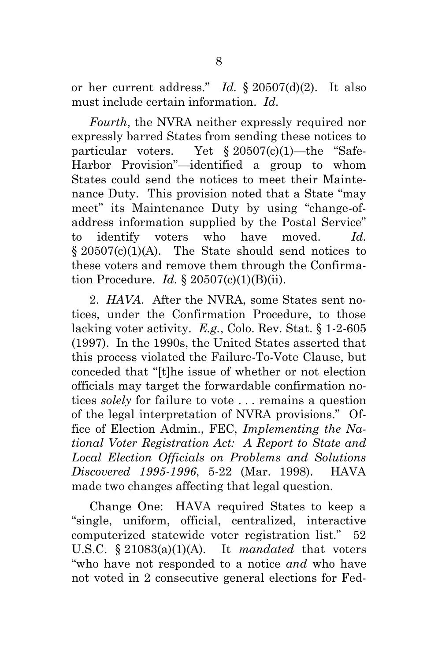<span id="page-23-1"></span>or her current address." *Id.* § 20507(d)(2). It also must include certain information. *Id.*

<span id="page-23-0"></span>*Fourth*, the NVRA neither expressly required nor expressly barred States from sending these notices to particular voters. Yet § 20507(c)(1)—the "Safe-Harbor Provision"—identified a group to whom States could send the notices to meet their Maintenance Duty. This provision noted that a State "may meet" its Maintenance Duty by using "change-ofaddress information supplied by the Postal Service" to identify voters who have moved. *Id.*  $§ 20507(c)(1)(A)$ . The State should send notices to these voters and remove them through the Confirmation Procedure. *Id.* § 20507(c)(1)(B)(ii).

<span id="page-23-3"></span>2. *HAVA*. After the NVRA, some States sent notices, under the Confirmation Procedure, to those lacking voter activity. *E.g.*, Colo. Rev. Stat. § 1-2-605 (1997). In the 1990s, the United States asserted that this process violated the Failure-To-Vote Clause, but conceded that "[t]he issue of whether or not election officials may target the forwardable confirmation notices *solely* for failure to vote . . . remains a question of the legal interpretation of NVRA provisions." Office of Election Admin., FEC, *Implementing the National Voter Registration Act: A Report to State and Local Election Officials on Problems and Solutions Discovered 1995-1996*, 5-22 (Mar. 1998). HAVA made two changes affecting that legal question.

<span id="page-23-4"></span><span id="page-23-2"></span>Change One: HAVA required States to keep a "single, uniform, official, centralized, interactive computerized statewide voter registration list." 52 U.S.C. § 21083(a)(1)(A). It *mandated* that voters "who have not responded to a notice *and* who have not voted in 2 consecutive general elections for Fed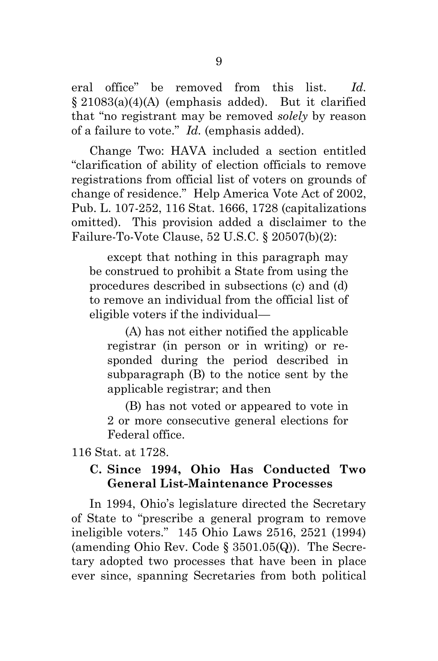<span id="page-24-1"></span>eral office" be removed from this list. *Id.* § 21083(a)(4)(A) (emphasis added). But it clarified that "no registrant may be removed *solely* by reason of a failure to vote." *Id.* (emphasis added).

Change Two: HAVA included a section entitled "clarification of ability of election officials to remove registrations from official list of voters on grounds of change of residence." Help America Vote Act of 2002, Pub. L. 107-252, 116 Stat. 1666, 1728 (capitalizations omitted). This provision added a disclaimer to the Failure-To-Vote Clause, 52 U.S.C. § 20507(b)(2):

<span id="page-24-0"></span>except that nothing in this paragraph may be construed to prohibit a State from using the procedures described in subsections (c) and (d) to remove an individual from the official list of eligible voters if the individual—

(A) has not either notified the applicable registrar (in person or in writing) or responded during the period described in subparagraph (B) to the notice sent by the applicable registrar; and then

(B) has not voted or appeared to vote in 2 or more consecutive general elections for Federal office.

116 Stat. at 1728.

### <span id="page-24-2"></span>**C. Since 1994, Ohio Has Conducted Two General List-Maintenance Processes**

<span id="page-24-3"></span>In 1994, Ohio's legislature directed the Secretary of State to "prescribe a general program to remove ineligible voters." 145 Ohio Laws 2516, 2521 (1994) (amending Ohio Rev. Code § 3501.05(Q)). The Secretary adopted two processes that have been in place ever since, spanning Secretaries from both political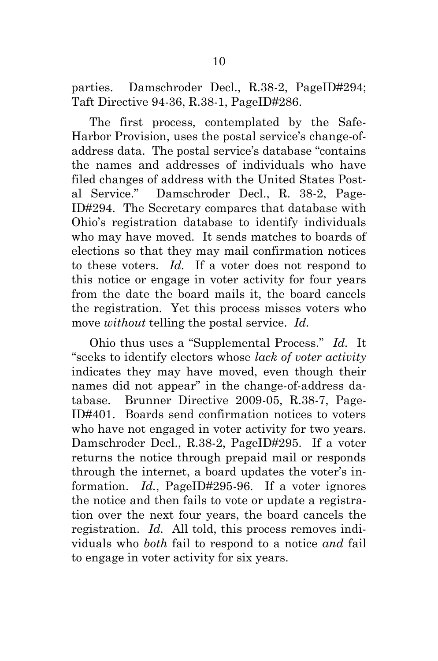parties. Damschroder Decl., R.38-2, PageID#294; Taft Directive 94-36, R.38-1, PageID#286.

The first process, contemplated by the Safe-Harbor Provision, uses the postal service's change-ofaddress data. The postal service's database "contains the names and addresses of individuals who have filed changes of address with the United States Postal Service." Damschroder Decl., R. 38-2, Page-ID#294. The Secretary compares that database with Ohio's registration database to identify individuals who may have moved. It sends matches to boards of elections so that they may mail confirmation notices to these voters. *Id.* If a voter does not respond to this notice or engage in voter activity for four years from the date the board mails it, the board cancels the registration. Yet this process misses voters who move *without* telling the postal service. *Id.*

Ohio thus uses a "Supplemental Process." *Id.* It "seeks to identify electors whose *lack of voter activity* indicates they may have moved, even though their names did not appear" in the change-of-address database. Brunner Directive 2009-05, R.38-7, Page-ID#401. Boards send confirmation notices to voters who have not engaged in voter activity for two years. Damschroder Decl., R.38-2, PageID#295. If a voter returns the notice through prepaid mail or responds through the internet, a board updates the voter's information. *Id.*, PageID#295-96. If a voter ignores the notice and then fails to vote or update a registration over the next four years, the board cancels the registration. *Id.* All told, this process removes individuals who *both* fail to respond to a notice *and* fail to engage in voter activity for six years.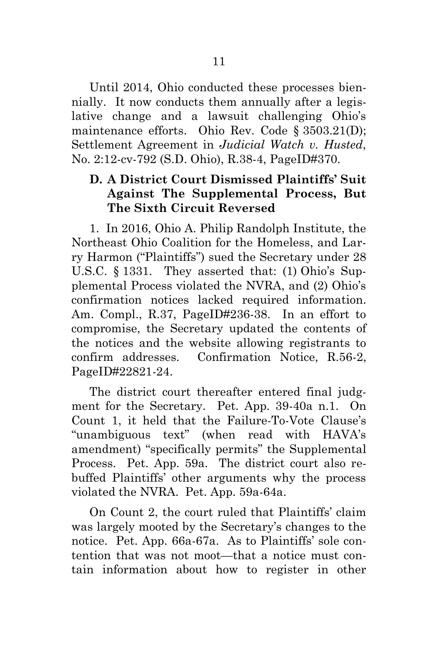Until 2014, Ohio conducted these processes biennially. It now conducts them annually after a legislative change and a lawsuit challenging Ohio's maintenance efforts. Ohio Rev. Code § 3503.21(D); Settlement Agreement in *Judicial Watch v. Husted*, No. 2:12-cv-792 (S.D. Ohio), R.38-4, PageID#370.

### <span id="page-26-1"></span><span id="page-26-0"></span>**D. A District Court Dismissed Plaintiffs' Suit Against The Supplemental Process, But The Sixth Circuit Reversed**

1. In 2016, Ohio A. Philip Randolph Institute, the Northeast Ohio Coalition for the Homeless, and Larry Harmon ("Plaintiffs") sued the Secretary under 28 U.S.C. § 1331. They asserted that: (1) Ohio's Supplemental Process violated the NVRA, and (2) Ohio's confirmation notices lacked required information. Am. Compl., R.37, PageID#236-38. In an effort to compromise, the Secretary updated the contents of the notices and the website allowing registrants to confirm addresses. Confirmation Notice, R.56-2, PageID#22821-24.

The district court thereafter entered final judgment for the Secretary. Pet. App. 39-40a n.1. On Count 1, it held that the Failure-To-Vote Clause's "unambiguous text" (when read with HAVA's amendment) "specifically permits" the Supplemental Process. Pet. App. 59a. The district court also rebuffed Plaintiffs' other arguments why the process violated the NVRA. Pet. App. 59a-64a.

On Count 2, the court ruled that Plaintiffs' claim was largely mooted by the Secretary's changes to the notice. Pet. App. 66a-67a. As to Plaintiffs' sole contention that was not moot—that a notice must contain information about how to register in other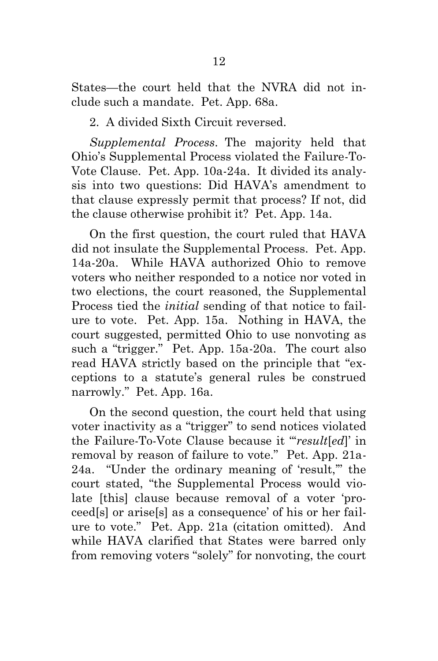States—the court held that the NVRA did not include such a mandate. Pet. App. 68a.

2. A divided Sixth Circuit reversed.

*Supplemental Process*. The majority held that Ohio's Supplemental Process violated the Failure-To-Vote Clause. Pet. App. 10a-24a. It divided its analysis into two questions: Did HAVA's amendment to that clause expressly permit that process? If not, did the clause otherwise prohibit it? Pet. App. 14a.

On the first question, the court ruled that HAVA did not insulate the Supplemental Process. Pet. App. 14a-20a. While HAVA authorized Ohio to remove voters who neither responded to a notice nor voted in two elections, the court reasoned, the Supplemental Process tied the *initial* sending of that notice to failure to vote. Pet. App. 15a. Nothing in HAVA, the court suggested, permitted Ohio to use nonvoting as such a "trigger." Pet. App. 15a-20a. The court also read HAVA strictly based on the principle that "exceptions to a statute's general rules be construed narrowly." Pet. App. 16a.

On the second question, the court held that using voter inactivity as a "trigger" to send notices violated the Failure-To-Vote Clause because it "'*result*[*ed*]' in removal by reason of failure to vote." Pet. App. 21a-24a. "Under the ordinary meaning of 'result,'" the court stated, "the Supplemental Process would violate [this] clause because removal of a voter 'proceed[s] or arise[s] as a consequence' of his or her failure to vote." Pet. App. 21a (citation omitted). And while HAVA clarified that States were barred only from removing voters "solely" for nonvoting, the court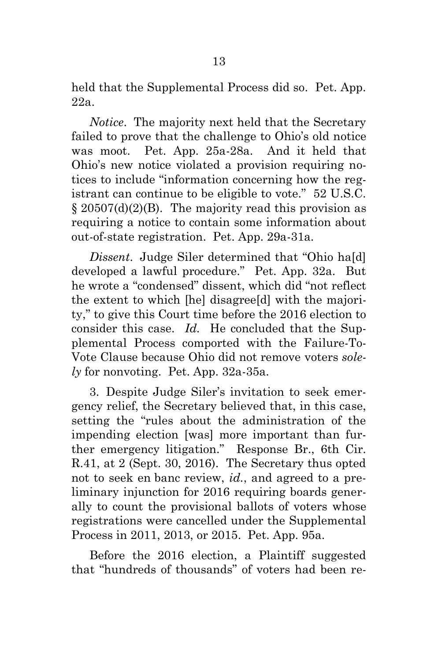held that the Supplemental Process did so. Pet. App. 22a.

*Notice*. The majority next held that the Secretary failed to prove that the challenge to Ohio's old notice was moot. Pet. App. 25a-28a. And it held that Ohio's new notice violated a provision requiring notices to include "information concerning how the registrant can continue to be eligible to vote." 52 U.S.C. § 20507(d)(2)(B). The majority read this provision as requiring a notice to contain some information about out-of-state registration. Pet. App. 29a-31a.

<span id="page-28-0"></span>*Dissent*. Judge Siler determined that "Ohio ha[d] developed a lawful procedure." Pet. App. 32a. But he wrote a "condensed" dissent, which did "not reflect the extent to which [he] disagree[d] with the majority," to give this Court time before the 2016 election to consider this case. *Id.* He concluded that the Supplemental Process comported with the Failure-To-Vote Clause because Ohio did not remove voters *solely* for nonvoting. Pet. App. 32a-35a.

3. Despite Judge Siler's invitation to seek emergency relief, the Secretary believed that, in this case, setting the "rules about the administration of the impending election [was] more important than further emergency litigation." Response Br., 6th Cir. R.41, at 2 (Sept. 30, 2016). The Secretary thus opted not to seek en banc review, *id.*, and agreed to a preliminary injunction for 2016 requiring boards generally to count the provisional ballots of voters whose registrations were cancelled under the Supplemental Process in 2011, 2013, or 2015. Pet. App. 95a.

Before the 2016 election, a Plaintiff suggested that "hundreds of thousands" of voters had been re-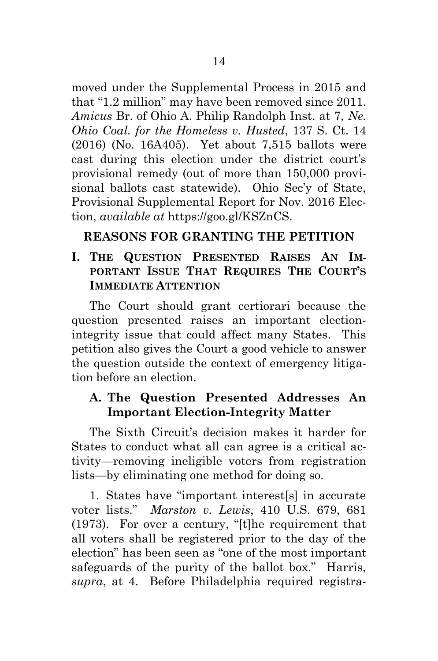moved under the Supplemental Process in 2015 and that "1.2 million" may have been removed since 2011. *Amicus* Br. of Ohio A. Philip Randolph Inst. at 7, *Ne. Ohio Coal. for the Homeless v. Husted*, 137 S. Ct. 14 (2016) (No. 16A405). Yet about 7,515 ballots were cast during this election under the district court's provisional remedy (out of more than 150,000 provisional ballots cast statewide). Ohio Sec'y of State, Provisional Supplemental Report for Nov. 2016 Election, *available at* https://goo.gl/KSZnCS.

## <span id="page-29-1"></span>**REASONS FOR GRANTING THE PETITION**

### **I. THE QUESTION PRESENTED RAISES AN IM-PORTANT ISSUE THAT REQUIRES THE COURT'S IMMEDIATE ATTENTION**

The Court should grant certiorari because the question presented raises an important electionintegrity issue that could affect many States. This petition also gives the Court a good vehicle to answer the question outside the context of emergency litigation before an election.

### **A. The Question Presented Addresses An Important Election-Integrity Matter**

The Sixth Circuit's decision makes it harder for States to conduct what all can agree is a critical activity—removing ineligible voters from registration lists—by eliminating one method for doing so.

<span id="page-29-0"></span>1. States have "important interest[s] in accurate voter lists." *Marston v. Lewis*, 410 U.S. 679, 681 (1973). For over a century, "[t]he requirement that all voters shall be registered prior to the day of the election" has been seen as "one of the most important safeguards of the purity of the ballot box." Harris, *supra*, at 4. Before Philadelphia required registra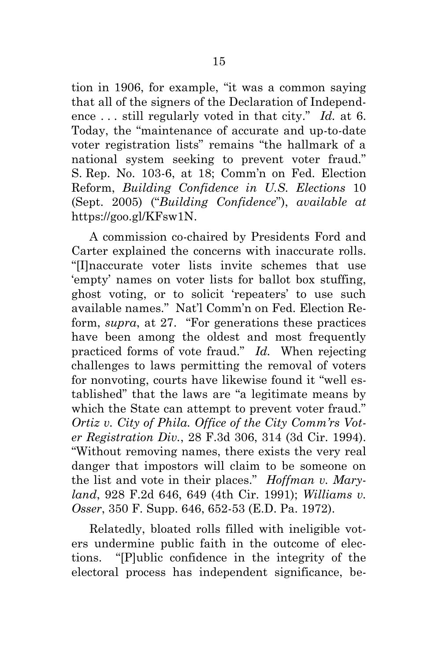tion in 1906, for example, "it was a common saying that all of the signers of the Declaration of Independence . . . still regularly voted in that city." *Id.* at 6. Today, the "maintenance of accurate and up-to-date voter registration lists" remains "the hallmark of a national system seeking to prevent voter fraud." S. Rep. No. 103-6, at 18; Comm'n on Fed. Election Reform, *Building Confidence in U.S. Elections* 10 (Sept. 2005) ("*Building Confidence*"), *available at* https://goo.gl/KFsw1N.

<span id="page-30-5"></span><span id="page-30-4"></span><span id="page-30-3"></span>A commission co-chaired by Presidents Ford and Carter explained the concerns with inaccurate rolls. "[I]naccurate voter lists invite schemes that use 'empty' names on voter lists for ballot box stuffing, ghost voting, or to solicit 'repeaters' to use such available names." Nat'l Comm'n on Fed. Election Reform, *supra*, at 27. "For generations these practices have been among the oldest and most frequently practiced forms of vote fraud." *Id.* When rejecting challenges to laws permitting the removal of voters for nonvoting, courts have likewise found it "well established" that the laws are "a legitimate means by which the State can attempt to prevent voter fraud." *Ortiz v. City of Phila. Office of the City Comm'rs Voter Registration Div.*, 28 F.3d 306, 314 (3d Cir. 1994). "Without removing names, there exists the very real danger that impostors will claim to be someone on the list and vote in their places." *Hoffman v. Maryland*, 928 F.2d 646, 649 (4th Cir. 1991); *Williams v. Osser*, 350 F. Supp. 646, 652-53 (E.D. Pa. 1972).

<span id="page-30-2"></span><span id="page-30-1"></span><span id="page-30-0"></span>Relatedly, bloated rolls filled with ineligible voters undermine public faith in the outcome of elections. "[P]ublic confidence in the integrity of the electoral process has independent significance, be-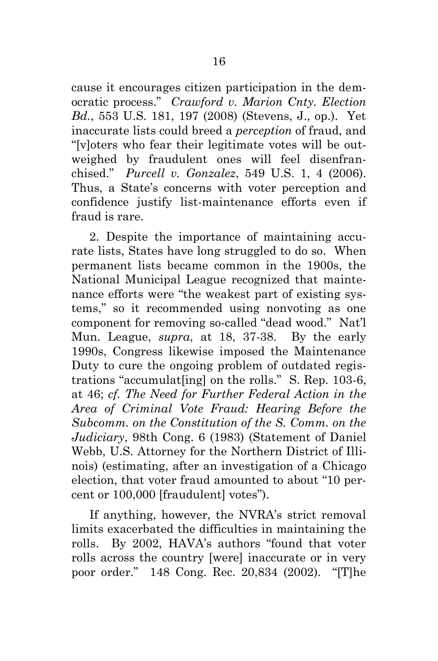<span id="page-31-0"></span>cause it encourages citizen participation in the democratic process." *Crawford v. Marion Cnty. Election Bd.*, 553 U.S. 181, 197 (2008) (Stevens, J., op.). Yet inaccurate lists could breed a *perception* of fraud, and "[v]oters who fear their legitimate votes will be outweighed by fraudulent ones will feel disenfranchised." *Purcell v. Gonzalez*, 549 U.S. 1, 4 (2006). Thus, a State's concerns with voter perception and confidence justify list-maintenance efforts even if fraud is rare.

<span id="page-31-3"></span><span id="page-31-1"></span>2. Despite the importance of maintaining accurate lists, States have long struggled to do so. When permanent lists became common in the 1900s, the National Municipal League recognized that maintenance efforts were "the weakest part of existing systems," so it recommended using nonvoting as one component for removing so-called "dead wood." Nat'l Mun. League, *supra*, at 18, 37-38. By the early 1990s, Congress likewise imposed the Maintenance Duty to cure the ongoing problem of outdated registrations "accumulat[ing] on the rolls." S. Rep. 103-6, at 46; *cf. The Need for Further Federal Action in the Area of Criminal Vote Fraud: Hearing Before the Subcomm. on the Constitution of the S. Comm. on the Judiciary*, 98th Cong. 6 (1983) (Statement of Daniel Webb, U.S. Attorney for the Northern District of Illinois) (estimating, after an investigation of a Chicago election, that voter fraud amounted to about "10 percent or 100,000 [fraudulent] votes").

<span id="page-31-5"></span><span id="page-31-4"></span><span id="page-31-2"></span>If anything, however, the NVRA's strict removal limits exacerbated the difficulties in maintaining the rolls. By 2002, HAVA's authors "found that voter rolls across the country [were] inaccurate or in very poor order." 148 Cong. Rec. 20,834 (2002). "[T]he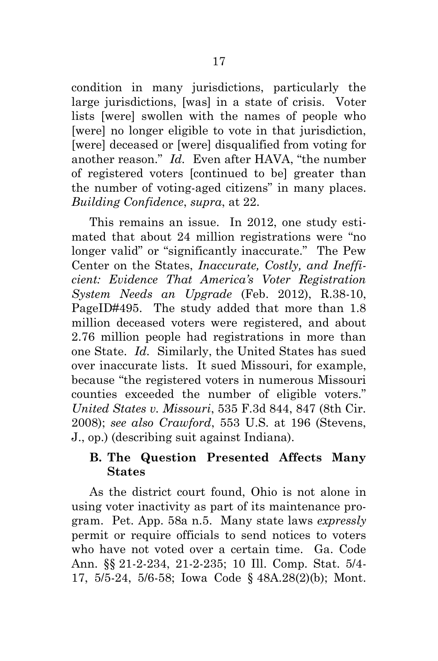condition in many jurisdictions, particularly the large jurisdictions, [was] in a state of crisis. Voter lists [were] swollen with the names of people who [were] no longer eligible to vote in that jurisdiction, [were] deceased or [were] disqualified from voting for another reason." *Id.* Even after HAVA, "the number of registered voters [continued to be] greater than the number of voting-aged citizens" in many places. *Building Confidence*, *supra*, at 22.

<span id="page-32-8"></span><span id="page-32-7"></span><span id="page-32-6"></span>This remains an issue. In 2012, one study estimated that about 24 million registrations were "no longer valid" or "significantly inaccurate." The Pew Center on the States, *Inaccurate, Costly, and Inefficient: Evidence That America's Voter Registration System Needs an Upgrade* (Feb. 2012), R.38-10, PageID#495. The study added that more than 1.8 million deceased voters were registered, and about 2.76 million people had registrations in more than one State. *Id.* Similarly, the United States has sued over inaccurate lists. It sued Missouri, for example, because "the registered voters in numerous Missouri counties exceeded the number of eligible voters." *United States v. Missouri*, 535 F.3d 844, 847 (8th Cir. 2008); *see also Crawford*, 553 U.S. at 196 (Stevens, J., op.) (describing suit against Indiana).

### <span id="page-32-5"></span><span id="page-32-2"></span><span id="page-32-1"></span><span id="page-32-0"></span>**B. The Question Presented Affects Many States**

<span id="page-32-4"></span><span id="page-32-3"></span>As the district court found, Ohio is not alone in using voter inactivity as part of its maintenance program. Pet. App. 58a n.5. Many state laws *expressly* permit or require officials to send notices to voters who have not voted over a certain time. Ga. Code Ann. §§ 21-2-234, 21-2-235; 10 Ill. Comp. Stat. 5/4- 17, 5/5-24, 5/6-58; Iowa Code § 48A.28(2)(b); Mont.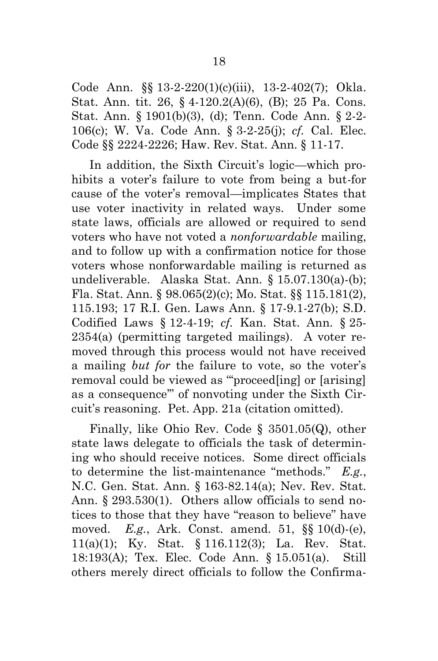<span id="page-33-16"></span><span id="page-33-13"></span><span id="page-33-12"></span>Code Ann. §§ 13-2-220(1)(c)(iii), 13-2-402(7); Okla. Stat. Ann. tit. 26, § 4-120.2(A)(6), (B); 25 Pa. Cons. Stat. Ann. § 1901(b)(3), (d); Tenn. Code Ann. § 2-2- 106(c); W. Va. Code Ann. § 3-2-25(j); *cf.* Cal. Elec. Code §§ 2224-2226; Haw. Rev. Stat. Ann. § 11-17.

<span id="page-33-18"></span><span id="page-33-8"></span><span id="page-33-4"></span><span id="page-33-3"></span><span id="page-33-2"></span><span id="page-33-0"></span>In addition, the Sixth Circuit's logic—which prohibits a voter's failure to vote from being a but-for cause of the voter's removal—implicates States that use voter inactivity in related ways. Under some state laws, officials are allowed or required to send voters who have not voted a *nonforwardable* mailing, and to follow up with a confirmation notice for those voters whose nonforwardable mailing is returned as undeliverable. Alaska Stat. Ann. § 15.07.130(a)-(b); Fla. Stat. Ann. § 98.065(2)(c); Mo. Stat. §§ 115.181(2), 115.193; 17 R.I. Gen. Laws Ann. § 17-9.1-27(b); S.D. Codified Laws § 12-4-19; *cf.* Kan. Stat. Ann. § 25- 2354(a) (permitting targeted mailings). A voter removed through this process would not have received a mailing *but for* the failure to vote, so the voter's removal could be viewed as "'proceed[ing] or [arising] as a consequence'" of nonvoting under the Sixth Circuit's reasoning. Pet. App. 21a (citation omitted).

<span id="page-33-17"></span><span id="page-33-15"></span><span id="page-33-14"></span><span id="page-33-11"></span><span id="page-33-10"></span><span id="page-33-9"></span><span id="page-33-7"></span><span id="page-33-6"></span><span id="page-33-5"></span><span id="page-33-1"></span>Finally, like Ohio Rev. Code § 3501.05(Q), other state laws delegate to officials the task of determining who should receive notices. Some direct officials to determine the list-maintenance "methods." *E.g.*, N.C. Gen. Stat. Ann. § 163-82.14(a); Nev. Rev. Stat. Ann. § 293.530(1). Others allow officials to send notices to those that they have "reason to believe" have moved. *E.g.*, Ark. Const. amend. 51, §§ 10(d)-(e), 11(a)(1); Ky. Stat. § 116.112(3); La. Rev. Stat. 18:193(A); Tex. Elec. Code Ann. § 15.051(a). Still others merely direct officials to follow the Confirma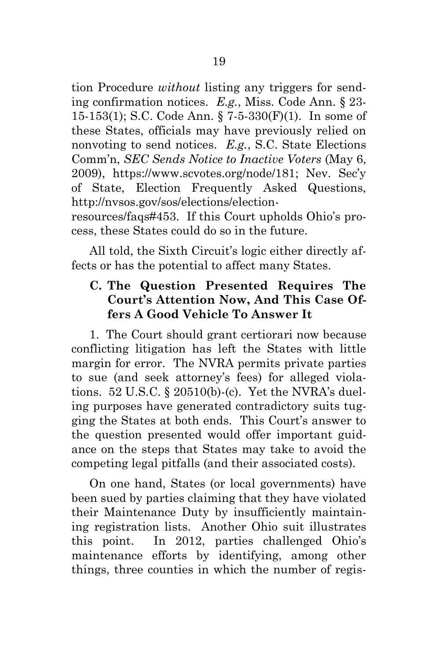<span id="page-34-4"></span><span id="page-34-2"></span><span id="page-34-1"></span>tion Procedure *without* listing any triggers for sending confirmation notices. *E.g.*, Miss. Code Ann. § 23- 15-153(1); S.C. Code Ann. § 7-5-330(F)(1). In some of these States, officials may have previously relied on nonvoting to send notices. *E.g.*, S.C. State Elections Comm'n, *SEC Sends Notice to Inactive Voters* (May 6, 2009), https://www.scvotes.org/node/181; Nev. Sec'y of State, Election Frequently Asked Questions, http://nvsos.gov/sos/elections/election-

<span id="page-34-3"></span>resources/faqs#453. If this Court upholds Ohio's process, these States could do so in the future.

All told, the Sixth Circuit's logic either directly affects or has the potential to affect many States.

### **C. The Question Presented Requires The Court's Attention Now, And This Case Offers A Good Vehicle To Answer It**

<span id="page-34-0"></span>1. The Court should grant certiorari now because conflicting litigation has left the States with little margin for error. The NVRA permits private parties to sue (and seek attorney's fees) for alleged violations. 52 U.S.C. § 20510(b)-(c). Yet the NVRA's dueling purposes have generated contradictory suits tugging the States at both ends. This Court's answer to the question presented would offer important guidance on the steps that States may take to avoid the competing legal pitfalls (and their associated costs).

On one hand, States (or local governments) have been sued by parties claiming that they have violated their Maintenance Duty by insufficiently maintaining registration lists. Another Ohio suit illustrates this point. In 2012, parties challenged Ohio's maintenance efforts by identifying, among other things, three counties in which the number of regis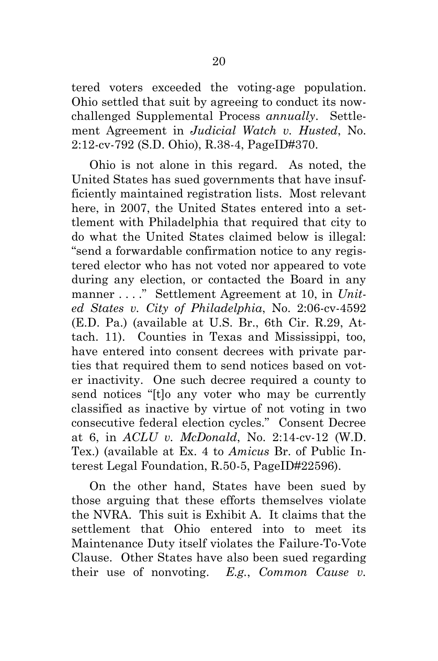tered voters exceeded the voting-age population. Ohio settled that suit by agreeing to conduct its nowchallenged Supplemental Process *annually*. Settlement Agreement in *Judicial Watch v. Husted*, No. 2:12-cv-792 (S.D. Ohio), R.38-4, PageID#370.

Ohio is not alone in this regard. As noted, the United States has sued governments that have insufficiently maintained registration lists. Most relevant here, in 2007, the United States entered into a settlement with Philadelphia that required that city to do what the United States claimed below is illegal: "send a forwardable confirmation notice to any registered elector who has not voted nor appeared to vote during any election, or contacted the Board in any manner . . . ." Settlement Agreement at 10, in *United States v. City of Philadelphia*, No. 2:06-cv-4592 (E.D. Pa.) (available at U.S. Br., 6th Cir. R.29, Attach. 11). Counties in Texas and Mississippi, too, have entered into consent decrees with private parties that required them to send notices based on voter inactivity. One such decree required a county to send notices "[t]o any voter who may be currently classified as inactive by virtue of not voting in two consecutive federal election cycles." Consent Decree at 6, in *ACLU v. McDonald*, No. 2:14-cv-12 (W.D. Tex.) (available at Ex. 4 to *Amicus* Br. of Public Interest Legal Foundation, R.50-5, PageID#22596).

On the other hand, States have been sued by those arguing that these efforts themselves violate the NVRA. This suit is Exhibit A. It claims that the settlement that Ohio entered into to meet its Maintenance Duty itself violates the Failure-To-Vote Clause. Other States have also been sued regarding their use of nonvoting. *E.g.*, *Common Cause v.*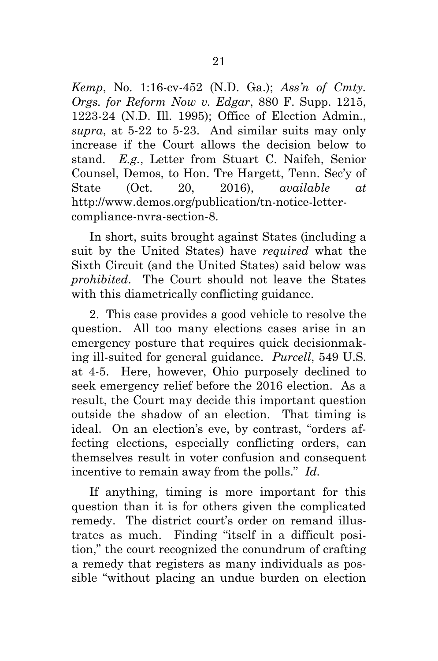<span id="page-36-2"></span><span id="page-36-0"></span>*Kemp*, No. 1:16-cv-452 (N.D. Ga.); *Ass'n of Cmty. Orgs. for Reform Now v. Edgar*, 880 F. Supp. 1215, 1223-24 (N.D. Ill. 1995); Office of Election Admin., *supra*, at 5-22 to 5-23. And similar suits may only increase if the Court allows the decision below to stand. *E.g.*, Letter from Stuart C. Naifeh, Senior Counsel, Demos, to Hon. Tre Hargett, Tenn. Sec'y of State (Oct. 20, 2016), *available at* http://www.demos.org/publication/tn-notice-lettercompliance-nvra-section-8.

In short, suits brought against States (including a suit by the United States) have *required* what the Sixth Circuit (and the United States) said below was *prohibited*. The Court should not leave the States with this diametrically conflicting guidance.

<span id="page-36-1"></span>2. This case provides a good vehicle to resolve the question. All too many elections cases arise in an emergency posture that requires quick decisionmaking ill-suited for general guidance. *Purcell*, 549 U.S. at 4-5. Here, however, Ohio purposely declined to seek emergency relief before the 2016 election. As a result, the Court may decide this important question outside the shadow of an election. That timing is ideal. On an election's eve, by contrast, "orders affecting elections, especially conflicting orders, can themselves result in voter confusion and consequent incentive to remain away from the polls." *Id.*

If anything, timing is more important for this question than it is for others given the complicated remedy. The district court's order on remand illustrates as much. Finding "itself in a difficult position," the court recognized the conundrum of crafting a remedy that registers as many individuals as possible "without placing an undue burden on election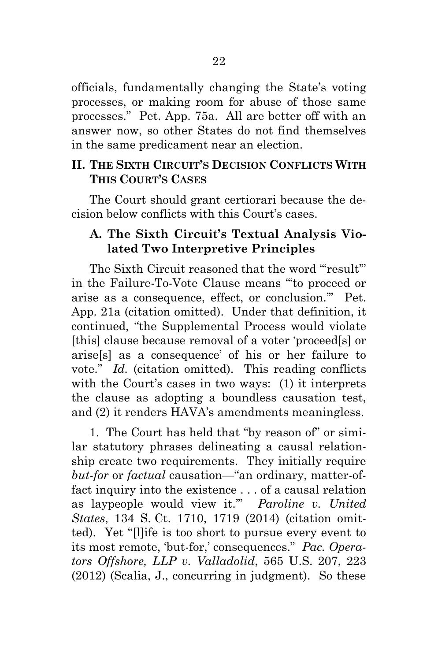officials, fundamentally changing the State's voting processes, or making room for abuse of those same processes." Pet. App. 75a. All are better off with an answer now, so other States do not find themselves in the same predicament near an election.

#### **II. THE SIXTH CIRCUIT'S DECISION CONFLICTS WITH THIS COURT'S CASES**

The Court should grant certiorari because the decision below conflicts with this Court's cases.

### **A. The Sixth Circuit's Textual Analysis Violated Two Interpretive Principles**

The Sixth Circuit reasoned that the word "result" in the Failure-To-Vote Clause means "'to proceed or arise as a consequence, effect, or conclusion.'" Pet. App. 21a (citation omitted). Under that definition, it continued, "the Supplemental Process would violate [this] clause because removal of a voter 'proceed[s] or arise[s] as a consequence' of his or her failure to vote." *Id.* (citation omitted). This reading conflicts with the Court's cases in two ways: (1) it interprets the clause as adopting a boundless causation test, and (2) it renders HAVA's amendments meaningless.

<span id="page-37-1"></span><span id="page-37-0"></span>1. The Court has held that "by reason of" or similar statutory phrases delineating a causal relationship create two requirements. They initially require *but-for* or *factual* causation—"an ordinary, matter-offact inquiry into the existence . . . of a causal relation as laypeople would view it.'" *Paroline v. United States*, 134 S. Ct. 1710, 1719 (2014) (citation omitted). Yet "[l]ife is too short to pursue every event to its most remote, 'but-for,' consequences." *Pac. Operators Offshore, LLP v. Valladolid*, 565 U.S. 207, 223 (2012) (Scalia, J., concurring in judgment). So these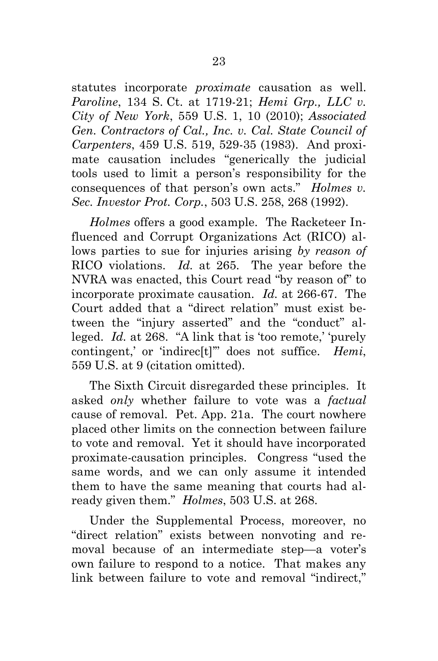<span id="page-38-3"></span><span id="page-38-1"></span><span id="page-38-0"></span>statutes incorporate *proximate* causation as well. *Paroline*, 134 S. Ct. at 1719-21; *Hemi Grp., LLC v. City of New York*, 559 U.S. 1, 10 (2010); *Associated Gen. Contractors of Cal., Inc. v. Cal. State Council of Carpenters*, 459 U.S. 519, 529-35 (1983). And proximate causation includes "generically the judicial tools used to limit a person's responsibility for the consequences of that person's own acts." *Holmes v. Sec. Investor Prot. Corp.*, 503 U.S. 258, 268 (1992).

<span id="page-38-2"></span>*Holmes* offers a good example. The Racketeer Influenced and Corrupt Organizations Act (RICO) allows parties to sue for injuries arising *by reason of* RICO violations. *Id.* at 265. The year before the NVRA was enacted, this Court read "by reason of" to incorporate proximate causation. *Id.* at 266-67. The Court added that a "direct relation" must exist between the "injury asserted" and the "conduct" alleged. *Id.* at 268. "A link that is 'too remote,' 'purely contingent,' or 'indirec[t]'" does not suffice. *Hemi*, 559 U.S. at 9 (citation omitted).

The Sixth Circuit disregarded these principles. It asked *only* whether failure to vote was a *factual*  cause of removal. Pet. App. 21a. The court nowhere placed other limits on the connection between failure to vote and removal. Yet it should have incorporated proximate-causation principles. Congress "used the same words, and we can only assume it intended them to have the same meaning that courts had already given them." *Holmes*, 503 U.S. at 268.

Under the Supplemental Process, moreover, no "direct relation" exists between nonvoting and removal because of an intermediate step—a voter's own failure to respond to a notice. That makes any link between failure to vote and removal "indirect,"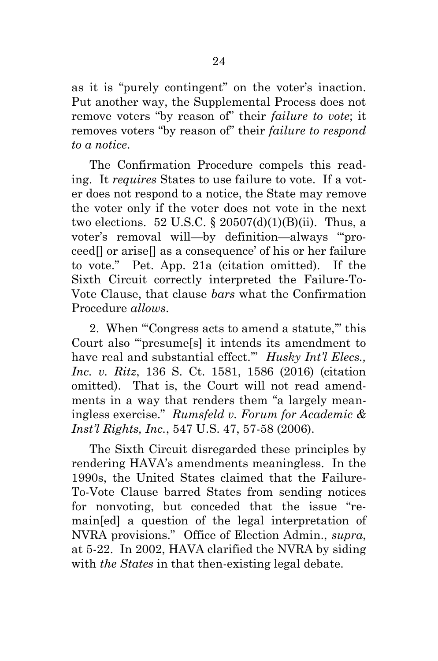as it is "purely contingent" on the voter's inaction. Put another way, the Supplemental Process does not remove voters "by reason of" their *failure to vote*; it removes voters "by reason of" their *failure to respond to a notice*.

<span id="page-39-2"></span>The Confirmation Procedure compels this reading. It *requires* States to use failure to vote. If a voter does not respond to a notice, the State may remove the voter only if the voter does not vote in the next two elections. 52 U.S.C.  $\S 20507(d)(1)(B)(ii)$ . Thus, a voter's removal will—by definition—always "'proceed[] or arise[] as a consequence' of his or her failure to vote." Pet. App. 21a (citation omitted). If the Sixth Circuit correctly interpreted the Failure-To-Vote Clause, that clause *bars* what the Confirmation Procedure *allows*.

<span id="page-39-0"></span>2. When "'Congress acts to amend a statute,'" this Court also "'presume[s] it intends its amendment to have real and substantial effect.'" *Husky Int'l Elecs., Inc. v. Ritz*, 136 S. Ct. 1581, 1586 (2016) (citation omitted). That is, the Court will not read amendments in a way that renders them "a largely meaningless exercise." *Rumsfeld v. Forum for Academic & Inst'l Rights, Inc.*, 547 U.S. 47, 57-58 (2006).

<span id="page-39-1"></span>The Sixth Circuit disregarded these principles by rendering HAVA's amendments meaningless. In the 1990s, the United States claimed that the Failure-To-Vote Clause barred States from sending notices for nonvoting, but conceded that the issue "remain[ed] a question of the legal interpretation of NVRA provisions." Office of Election Admin., *supra*, at 5-22. In 2002, HAVA clarified the NVRA by siding with *the States* in that then-existing legal debate.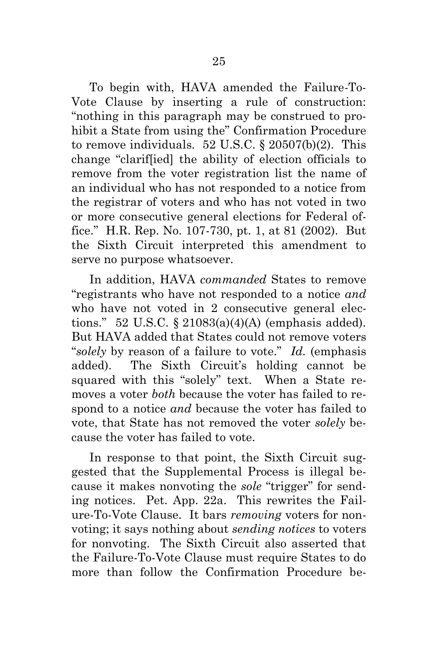<span id="page-40-0"></span>To begin with, HAVA amended the Failure-To-Vote Clause by inserting a rule of construction: "nothing in this paragraph may be construed to prohibit a State from using the" Confirmation Procedure to remove individuals.  $52 \text{ U.S.C.}$  §  $20507(b)(2)$ . This change "clarif[ied] the ability of election officials to remove from the voter registration list the name of an individual who has not responded to a notice from the registrar of voters and who has not voted in two or more consecutive general elections for Federal office." H.R. Rep. No. 107-730, pt. 1, at 81 (2002). But the Sixth Circuit interpreted this amendment to serve no purpose whatsoever.

<span id="page-40-2"></span><span id="page-40-1"></span>In addition, HAVA *commanded* States to remove "registrants who have not responded to a notice *and* who have not voted in 2 consecutive general elections." 52 U.S.C.  $\S 21083(a)(4)(A)$  (emphasis added). But HAVA added that States could not remove voters "*solely* by reason of a failure to vote." *Id.* (emphasis added). The Sixth Circuit's holding cannot be squared with this "solely" text. When a State removes a voter *both* because the voter has failed to respond to a notice *and* because the voter has failed to vote, that State has not removed the voter *solely* because the voter has failed to vote.

In response to that point, the Sixth Circuit suggested that the Supplemental Process is illegal because it makes nonvoting the *sole* "trigger" for sending notices. Pet. App. 22a. This rewrites the Failure-To-Vote Clause. It bars *removing* voters for nonvoting; it says nothing about *sending notices* to voters for nonvoting. The Sixth Circuit also asserted that the Failure-To-Vote Clause must require States to do more than follow the Confirmation Procedure be-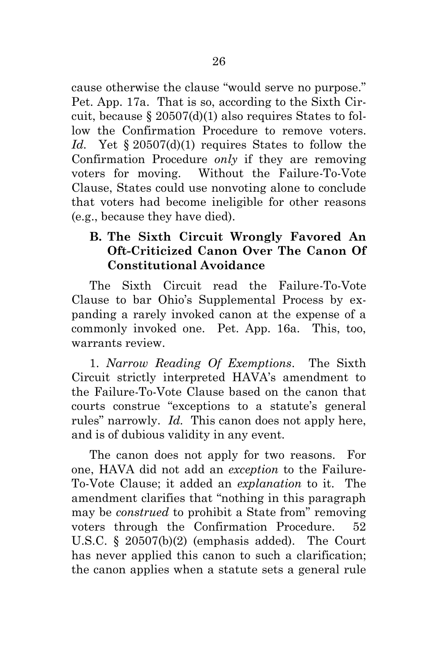<span id="page-41-1"></span>cause otherwise the clause "would serve no purpose." Pet. App. 17a. That is so, according to the Sixth Circuit, because § 20507(d)(1) also requires States to follow the Confirmation Procedure to remove voters. *Id.* Yet § 20507(d)(1) requires States to follow the Confirmation Procedure *only* if they are removing voters for moving. Without the Failure-To-Vote Clause, States could use nonvoting alone to conclude that voters had become ineligible for other reasons (e.g., because they have died).

## **B. The Sixth Circuit Wrongly Favored An Oft-Criticized Canon Over The Canon Of Constitutional Avoidance**

The Sixth Circuit read the Failure-To-Vote Clause to bar Ohio's Supplemental Process by expanding a rarely invoked canon at the expense of a commonly invoked one. Pet. App. 16a. This, too, warrants review.

1. *Narrow Reading Of Exemptions*. The Sixth Circuit strictly interpreted HAVA's amendment to the Failure-To-Vote Clause based on the canon that courts construe "exceptions to a statute's general rules" narrowly. *Id.* This canon does not apply here, and is of dubious validity in any event.

<span id="page-41-0"></span>The canon does not apply for two reasons. For one, HAVA did not add an *exception* to the Failure-To-Vote Clause; it added an *explanation* to it. The amendment clarifies that "nothing in this paragraph may be *construed* to prohibit a State from" removing voters through the Confirmation Procedure. 52 U.S.C. § 20507(b)(2) (emphasis added). The Court has never applied this canon to such a clarification; the canon applies when a statute sets a general rule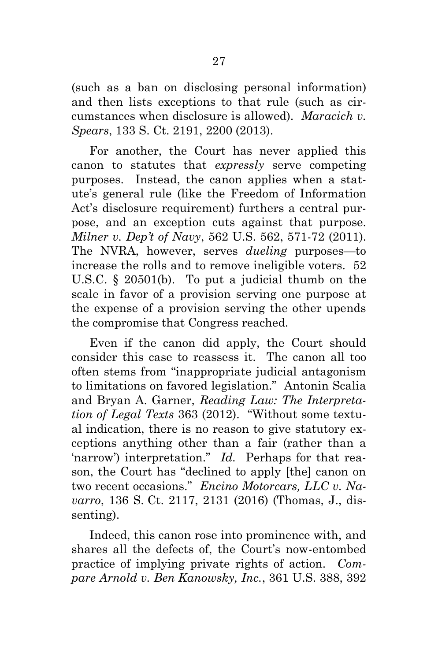<span id="page-42-2"></span>(such as a ban on disclosing personal information) and then lists exceptions to that rule (such as circumstances when disclosure is allowed). *Maracich v. Spears*, 133 S. Ct. 2191, 2200 (2013).

<span id="page-42-3"></span>For another, the Court has never applied this canon to statutes that *expressly* serve competing purposes. Instead, the canon applies when a statute's general rule (like the Freedom of Information Act's disclosure requirement) furthers a central purpose, and an exception cuts against that purpose. *Milner v. Dep't of Navy*, 562 U.S. 562, 571-72 (2011). The NVRA, however, serves *dueling* purposes—to increase the rolls and to remove ineligible voters. 52 U.S.C. § 20501(b). To put a judicial thumb on the scale in favor of a provision serving one purpose at the expense of a provision serving the other upends the compromise that Congress reached.

<span id="page-42-5"></span><span id="page-42-4"></span>Even if the canon did apply, the Court should consider this case to reassess it. The canon all too often stems from "inappropriate judicial antagonism to limitations on favored legislation." Antonin Scalia and Bryan A. Garner, *Reading Law: The Interpretation of Legal Texts* 363 (2012). "Without some textual indication, there is no reason to give statutory exceptions anything other than a fair (rather than a 'narrow') interpretation." *Id.* Perhaps for that reason, the Court has "declined to apply [the] canon on two recent occasions." *Encino Motorcars, LLC v. Navarro*, 136 S. Ct. 2117, 2131 (2016) (Thomas, J., dissenting).

<span id="page-42-1"></span><span id="page-42-0"></span>Indeed, this canon rose into prominence with, and shares all the defects of, the Court's now-entombed practice of implying private rights of action. *Compare Arnold v. Ben Kanowsky, Inc.*, 361 U.S. 388, 392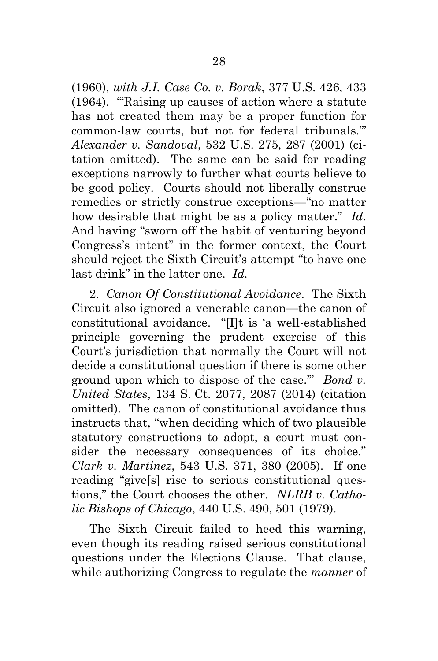<span id="page-43-3"></span><span id="page-43-0"></span>(1960), *with J.I. Case Co. v. Borak*, 377 U.S. 426, 433 (1964). "'Raising up causes of action where a statute has not created them may be a proper function for common-law courts, but not for federal tribunals.'" *Alexander v. Sandoval*, 532 U.S. 275, 287 (2001) (citation omitted). The same can be said for reading exceptions narrowly to further what courts believe to be good policy. Courts should not liberally construe remedies or strictly construe exceptions—"no matter how desirable that might be as a policy matter." *Id.* And having "sworn off the habit of venturing beyond Congress's intent" in the former context, the Court should reject the Sixth Circuit's attempt "to have one last drink" in the latter one. *Id.*

<span id="page-43-1"></span>2. *Canon Of Constitutional Avoidance*. The Sixth Circuit also ignored a venerable canon—the canon of constitutional avoidance. "[I]t is 'a well-established principle governing the prudent exercise of this Court's jurisdiction that normally the Court will not decide a constitutional question if there is some other ground upon which to dispose of the case.'" *Bond v. United States*, 134 S. Ct. 2077, 2087 (2014) (citation omitted). The canon of constitutional avoidance thus instructs that, "when deciding which of two plausible statutory constructions to adopt, a court must consider the necessary consequences of its choice." *Clark v. Martinez*, 543 U.S. 371, 380 (2005). If one reading "give[s] rise to serious constitutional questions," the Court chooses the other. *NLRB v. Catholic Bishops of Chicago*, 440 U.S. 490, 501 (1979).

<span id="page-43-4"></span><span id="page-43-2"></span>The Sixth Circuit failed to heed this warning, even though its reading raised serious constitutional questions under the Elections Clause. That clause, while authorizing Congress to regulate the *manner* of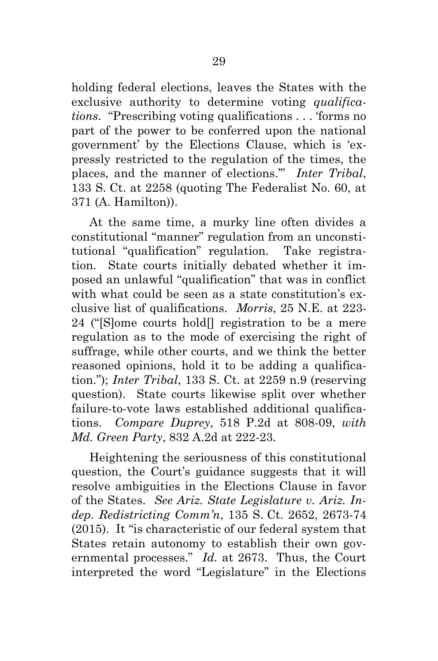holding federal elections, leaves the States with the exclusive authority to determine voting *qualifications*. "Prescribing voting qualifications . . . 'forms no part of the power to be conferred upon the national government' by the Elections Clause, which is 'expressly restricted to the regulation of the times, the places, and the manner of elections.'" *Inter Tribal*, 133 S. Ct. at 2258 (quoting The Federalist No. 60, at 371 (A. Hamilton)).

<span id="page-44-4"></span><span id="page-44-1"></span>At the same time, a murky line often divides a constitutional "manner" regulation from an unconstitutional "qualification" regulation. Take registration. State courts initially debated whether it imposed an unlawful "qualification" that was in conflict with what could be seen as a state constitution's exclusive list of qualifications. *Morris*, 25 N.E. at 223- 24 ("[S]ome courts hold[] registration to be a mere regulation as to the mode of exercising the right of suffrage, while other courts, and we think the better reasoned opinions, hold it to be adding a qualification."); *Inter Tribal*, 133 S. Ct. at 2259 n.9 (reserving question). State courts likewise split over whether failure-to-vote laws established additional qualifications. *Compare Duprey*, 518 P.2d at 808-09, *with Md. Green Party*, 832 A.2d at 222-23.

<span id="page-44-3"></span><span id="page-44-2"></span><span id="page-44-0"></span>Heightening the seriousness of this constitutional question, the Court's guidance suggests that it will resolve ambiguities in the Elections Clause in favor of the States. *See Ariz. State Legislature v. Ariz. Indep. Redistricting Comm'n*, 135 S. Ct. 2652, 2673-74 (2015). It "is characteristic of our federal system that States retain autonomy to establish their own governmental processes." *Id.* at 2673. Thus, the Court interpreted the word "Legislature" in the Elections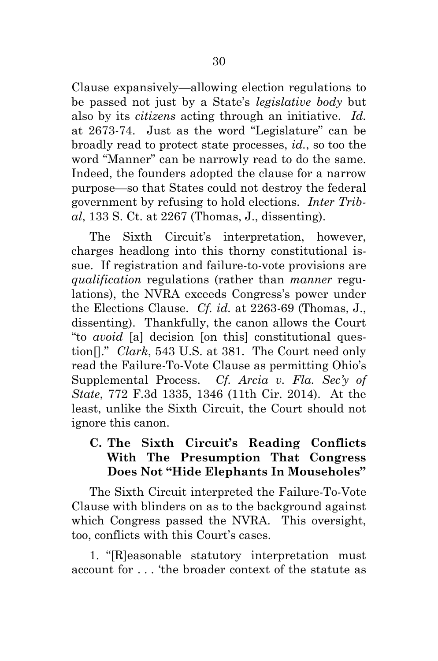<span id="page-45-1"></span>Clause expansively—allowing election regulations to be passed not just by a State's *legislative body* but also by its *citizens* acting through an initiative. *Id.* at 2673-74. Just as the word "Legislature" can be broadly read to protect state processes, *id.*, so too the word "Manner" can be narrowly read to do the same. Indeed, the founders adopted the clause for a narrow purpose—so that States could not destroy the federal government by refusing to hold elections. *Inter Tribal*, 133 S. Ct. at 2267 (Thomas, J., dissenting).

<span id="page-45-2"></span>The Sixth Circuit's interpretation, however, charges headlong into this thorny constitutional issue. If registration and failure-to-vote provisions are *qualification* regulations (rather than *manner* regulations), the NVRA exceeds Congress's power under the Elections Clause. *Cf. id.* at 2263-69 (Thomas, J., dissenting). Thankfully, the canon allows the Court "to *avoid* [a] decision [on this] constitutional question[]." *Clark*, 543 U.S. at 381. The Court need only read the Failure-To-Vote Clause as permitting Ohio's Supplemental Process. *Cf. Arcia v. Fla. Sec'y of State*, 772 F.3d 1335, 1346 (11th Cir. 2014). At the least, unlike the Sixth Circuit, the Court should not ignore this canon.

### <span id="page-45-3"></span><span id="page-45-0"></span>**C. The Sixth Circuit's Reading Conflicts With The Presumption That Congress Does Not "Hide Elephants In Mouseholes"**

The Sixth Circuit interpreted the Failure-To-Vote Clause with blinders on as to the background against which Congress passed the NVRA. This oversight, too, conflicts with this Court's cases.

1. "[R]easonable statutory interpretation must account for . . . 'the broader context of the statute as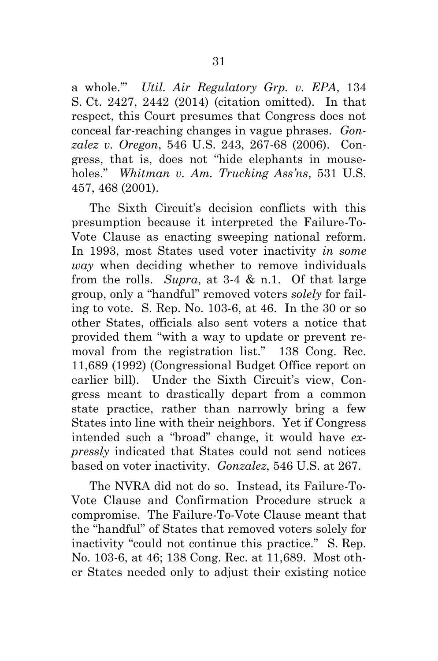<span id="page-46-1"></span><span id="page-46-0"></span>a whole.'" *Util. Air Regulatory Grp. v. EPA*, 134 S. Ct. 2427, 2442 (2014) (citation omitted). In that respect, this Court presumes that Congress does not conceal far-reaching changes in vague phrases. *Gonzalez v. Oregon*, 546 U.S. 243, 267-68 (2006). Congress, that is, does not "hide elephants in mouseholes." *Whitman v. Am. Trucking Ass'ns*, 531 U.S. 457, 468 (2001).

<span id="page-46-4"></span><span id="page-46-2"></span>The Sixth Circuit's decision conflicts with this presumption because it interpreted the Failure-To-Vote Clause as enacting sweeping national reform. In 1993, most States used voter inactivity *in some way* when deciding whether to remove individuals from the rolls. *Supra*, at 3-4 & n.1. Of that large group, only a "handful" removed voters *solely* for failing to vote. S. Rep. No. 103-6, at 46. In the 30 or so other States, officials also sent voters a notice that provided them "with a way to update or prevent removal from the registration list." 138 Cong. Rec. 11,689 (1992) (Congressional Budget Office report on earlier bill). Under the Sixth Circuit's view, Congress meant to drastically depart from a common state practice, rather than narrowly bring a few States into line with their neighbors. Yet if Congress intended such a "broad" change, it would have *expressly* indicated that States could not send notices based on voter inactivity. *Gonzalez*, 546 U.S. at 267.

<span id="page-46-3"></span>The NVRA did not do so. Instead, its Failure-To-Vote Clause and Confirmation Procedure struck a compromise. The Failure-To-Vote Clause meant that the "handful" of States that removed voters solely for inactivity "could not continue this practice." S. Rep. No. 103-6, at 46; 138 Cong. Rec. at 11,689. Most other States needed only to adjust their existing notice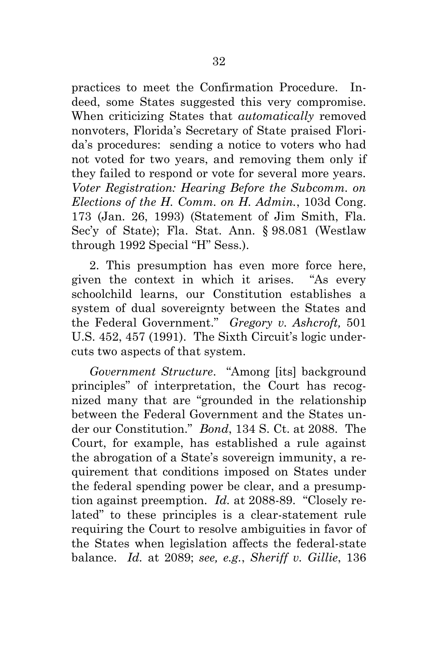practices to meet the Confirmation Procedure. Indeed, some States suggested this very compromise. When criticizing States that *automatically* removed nonvoters, Florida's Secretary of State praised Florida's procedures: sending a notice to voters who had not voted for two years, and removing them only if they failed to respond or vote for several more years. *Voter Registration: Hearing Before the Subcomm. on Elections of the H. Comm. on H. Admin.*, 103d Cong. 173 (Jan. 26, 1993) (Statement of Jim Smith, Fla. Sec'y of State); Fla. Stat. Ann. § 98.081 (Westlaw through 1992 Special "H" Sess.).

<span id="page-47-4"></span><span id="page-47-3"></span>2. This presumption has even more force here, given the context in which it arises. "As every schoolchild learns, our Constitution establishes a system of dual sovereignty between the States and the Federal Government." *Gregory v. Ashcroft,* 501 U.S. 452, 457 (1991). The Sixth Circuit's logic undercuts two aspects of that system.

<span id="page-47-2"></span><span id="page-47-1"></span><span id="page-47-0"></span>*Government Structure*. "Among [its] background principles" of interpretation, the Court has recognized many that are "grounded in the relationship between the Federal Government and the States under our Constitution." *Bond*, 134 S. Ct. at 2088. The Court, for example, has established a rule against the abrogation of a State's sovereign immunity, a requirement that conditions imposed on States under the federal spending power be clear, and a presumption against preemption. *Id.* at 2088-89. "Closely related" to these principles is a clear-statement rule requiring the Court to resolve ambiguities in favor of the States when legislation affects the federal-state balance. *Id.* at 2089; *see, e.g.*, *Sheriff v. Gillie*, 136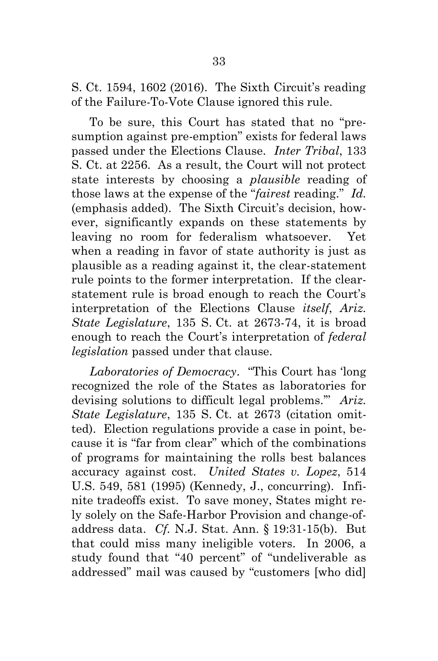S. Ct. 1594, 1602 (2016). The Sixth Circuit's reading of the Failure-To-Vote Clause ignored this rule.

<span id="page-48-1"></span>To be sure, this Court has stated that no "presumption against pre-emption" exists for federal laws passed under the Elections Clause. *Inter Tribal*, 133 S. Ct. at 2256. As a result, the Court will not protect state interests by choosing a *plausible* reading of those laws at the expense of the "*fairest* reading." *Id.* (emphasis added). The Sixth Circuit's decision, however, significantly expands on these statements by leaving no room for federalism whatsoever. Yet when a reading in favor of state authority is just as plausible as a reading against it, the clear-statement rule points to the former interpretation. If the clearstatement rule is broad enough to reach the Court's interpretation of the Elections Clause *itself*, *Ariz. State Legislature*, 135 S. Ct. at 2673-74, it is broad enough to reach the Court's interpretation of *federal legislation* passed under that clause.

<span id="page-48-3"></span><span id="page-48-2"></span><span id="page-48-0"></span>*Laboratories of Democracy*. "This Court has 'long recognized the role of the States as laboratories for devising solutions to difficult legal problems.'" *Ariz. State Legislature*, 135 S. Ct. at 2673 (citation omitted). Election regulations provide a case in point, because it is "far from clear" which of the combinations of programs for maintaining the rolls best balances accuracy against cost. *United States v. Lopez*, 514 U.S. 549, 581 (1995) (Kennedy, J., concurring). Infinite tradeoffs exist. To save money, States might rely solely on the Safe-Harbor Provision and change-ofaddress data. *Cf.* N.J. Stat. Ann. § 19:31-15(b). But that could miss many ineligible voters. In 2006, a study found that "40 percent" of "undeliverable as addressed" mail was caused by "customers [who did]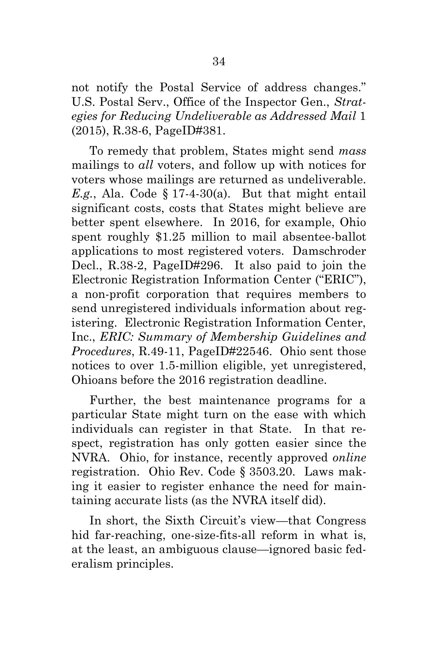not notify the Postal Service of address changes." U.S. Postal Serv., Office of the Inspector Gen., *Strategies for Reducing Undeliverable as Addressed Mail* 1 (2015), R.38-6, PageID#381.

<span id="page-49-0"></span>To remedy that problem, States might send *mass* mailings to *all* voters, and follow up with notices for voters whose mailings are returned as undeliverable. *E.g.*, Ala. Code  $\S 17-4-30(a)$ . But that might entail significant costs, costs that States might believe are better spent elsewhere. In 2016, for example, Ohio spent roughly \$1.25 million to mail absentee-ballot applications to most registered voters. Damschroder Decl., R.38-2, PageID#296. It also paid to join the Electronic Registration Information Center ("ERIC"), a non-profit corporation that requires members to send unregistered individuals information about registering. Electronic Registration Information Center, Inc., *ERIC: Summary of Membership Guidelines and Procedures*, R.49-11, PageID#22546.Ohio sent those notices to over 1.5-million eligible, yet unregistered, Ohioans before the 2016 registration deadline.

Further, the best maintenance programs for a particular State might turn on the ease with which individuals can register in that State. In that respect, registration has only gotten easier since the NVRA. Ohio, for instance, recently approved *online* registration. Ohio Rev. Code § 3503.20. Laws making it easier to register enhance the need for maintaining accurate lists (as the NVRA itself did).

<span id="page-49-1"></span>In short, the Sixth Circuit's view—that Congress hid far-reaching, one-size-fits-all reform in what is, at the least, an ambiguous clause—ignored basic federalism principles.